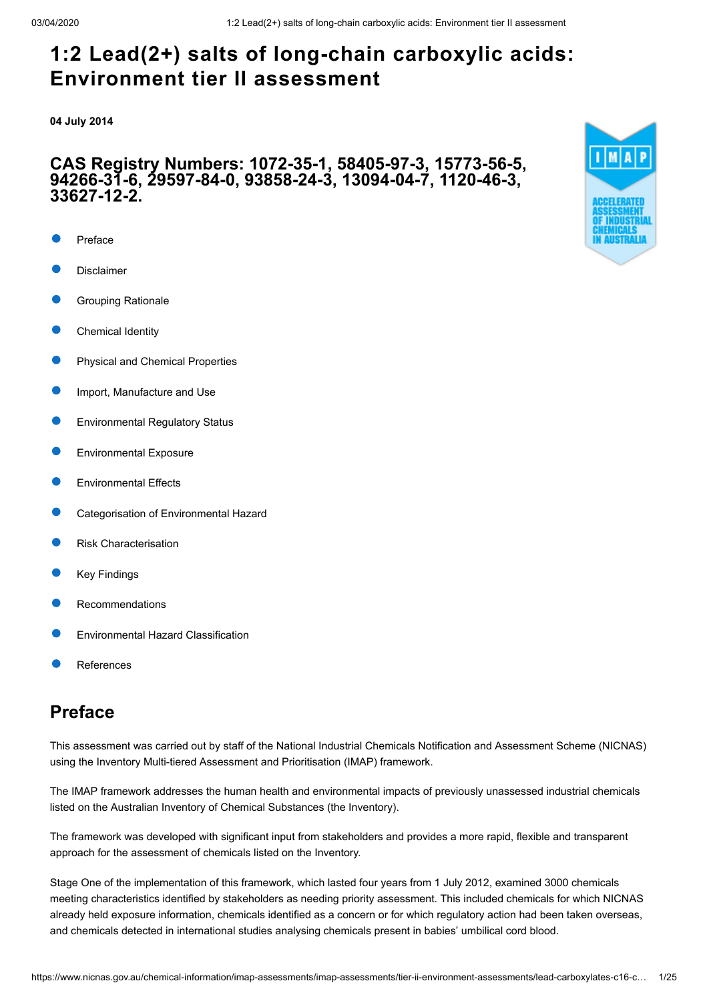**04 July 2014**

### **CAS Registry Numbers: 1072-35-1, 58405-97-3, 15773-56-5, 94266-31-6, 29597-84-0, 93858-24-3, 13094-04-7, 1120-46-3, 33627-12-2.**

- [Preface](#page-0-0)
- [Disclaimer](#page-1-0)
- [Grouping Rationale](#page-1-1)
- [Chemical Identity](#page-2-0)
- [Physical and Chemical Properties](#page-9-0)
- [Import, Manufacture and Use](#page-10-0)
- [Environmental Regulatory Status](#page-10-1)
- [Environmental Exposure](#page-12-0)
- [Environmental Effects](#page-14-0)
- [Categorisation of Environmental Hazard](#page-18-0)
- [Risk Characterisation](#page-19-0)
- [Key Findings](#page-19-1)
- [Recommendations](#page-20-0)
- [Environmental Hazard Classification](#page-20-1)
- [References](#page-21-0)

# <span id="page-0-0"></span>**Preface**

This assessment was carried out by staff of the National Industrial Chemicals Notification and Assessment Scheme (NICNAS) using the Inventory Multi-tiered Assessment and Prioritisation (IMAP) framework.

The IMAP framework addresses the human health and environmental impacts of previously unassessed industrial chemicals listed on the Australian Inventory of Chemical Substances (the Inventory).

The framework was developed with significant input from stakeholders and provides a more rapid, flexible and transparent approach for the assessment of chemicals listed on the Inventory.

Stage One of the implementation of this framework, which lasted four years from 1 July 2012, examined 3000 chemicals meeting characteristics identified by stakeholders as needing priority assessment. This included chemicals for which NICNAS already held exposure information, chemicals identified as a concern or for which regulatory action had been taken overseas, and chemicals detected in international studies analysing chemicals present in babies' umbilical cord blood.

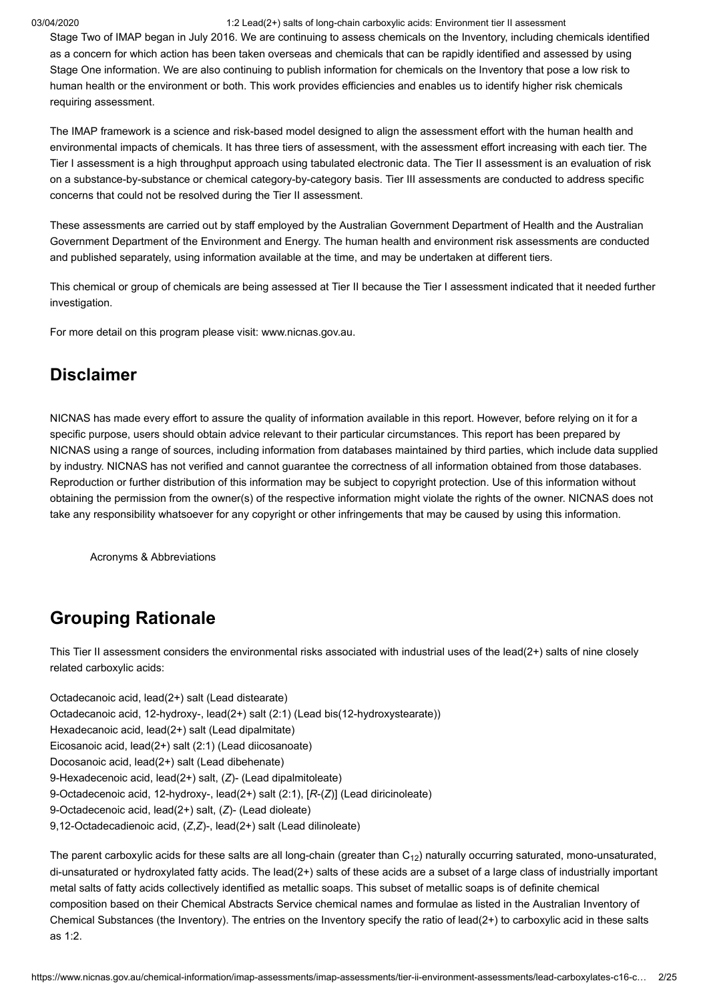Stage Two of IMAP began in July 2016. We are continuing to assess chemicals on the Inventory, including chemicals identified as a concern for which action has been taken overseas and chemicals that can be rapidly identified and assessed by using Stage One information. We are also continuing to publish information for chemicals on the Inventory that pose a low risk to human health or the environment or both. This work provides efficiencies and enables us to identify higher risk chemicals requiring assessment.

The IMAP framework is a science and risk-based model designed to align the assessment effort with the human health and environmental impacts of chemicals. It has three tiers of assessment, with the assessment effort increasing with each tier. The Tier I assessment is a high throughput approach using tabulated electronic data. The Tier II assessment is an evaluation of risk on a substance-by-substance or chemical category-by-category basis. Tier III assessments are conducted to address specific concerns that could not be resolved during the Tier II assessment.

These assessments are carried out by staff employed by the Australian Government Department of Health and the Australian Government Department of the Environment and Energy. The human health and environment risk assessments are conducted and published separately, using information available at the time, and may be undertaken at different tiers.

This chemical or group of chemicals are being assessed at Tier II because the Tier I assessment indicated that it needed further investigation.

For more detail on this program please visit: [www.nicnas.gov.au](https://www.nicnas.gov.au/).

## <span id="page-1-0"></span>**Disclaimer**

NICNAS has made every effort to assure the quality of information available in this report. However, before relying on it for a specific purpose, users should obtain advice relevant to their particular circumstances. This report has been prepared by NICNAS using a range of sources, including information from databases maintained by third parties, which include data supplied by industry. NICNAS has not verified and cannot guarantee the correctness of all information obtained from those databases. Reproduction or further distribution of this information may be subject to copyright protection. Use of this information without obtaining the permission from the owner(s) of the respective information might violate the rights of the owner. NICNAS does not take any responsibility whatsoever for any copyright or other infringements that may be caused by using this information.

[Acronyms & Abbreviations](http://www.nicnas.gov.au/chemical-information/imap-assessments/acronyms-and-abbreviations)

# <span id="page-1-1"></span>**Grouping Rationale**

This Tier II assessment considers the environmental risks associated with industrial uses of the lead(2+) salts of nine closely related carboxylic acids:

Octadecanoic acid, lead(2+) salt (Lead distearate) Octadecanoic acid, 12-hydroxy-, lead(2+) salt (2:1) (Lead bis(12-hydroxystearate)) Hexadecanoic acid, lead(2+) salt (Lead dipalmitate) Eicosanoic acid, lead(2+) salt (2:1) (Lead diicosanoate) Docosanoic acid, lead(2+) salt (Lead dibehenate) 9-Hexadecenoic acid, lead(2+) salt, (*Z*)- (Lead dipalmitoleate) 9-Octadecenoic acid, 12-hydroxy-, lead(2+) salt (2:1), [*R*-(*Z*)] (Lead diricinoleate) 9-Octadecenoic acid, lead(2+) salt, (*Z*)- (Lead dioleate) 9,12-Octadecadienoic acid, (*Z*,*Z*)-, lead(2+) salt (Lead dilinoleate)

The parent carboxylic acids for these salts are all long-chain (greater than C $_{\rm 12}$ ) naturally occurring saturated, mono-unsaturated, di-unsaturated or hydroxylated fatty acids. The lead(2+) salts of these acids are a subset of a large class of industrially important metal salts of fatty acids collectively identified as metallic soaps. This subset of metallic soaps is of definite chemical composition based on their Chemical Abstracts Service chemical names and formulae as listed in the Australian Inventory of Chemical Substances (the Inventory). The entries on the Inventory specify the ratio of lead(2+) to carboxylic acid in these salts as 1:2.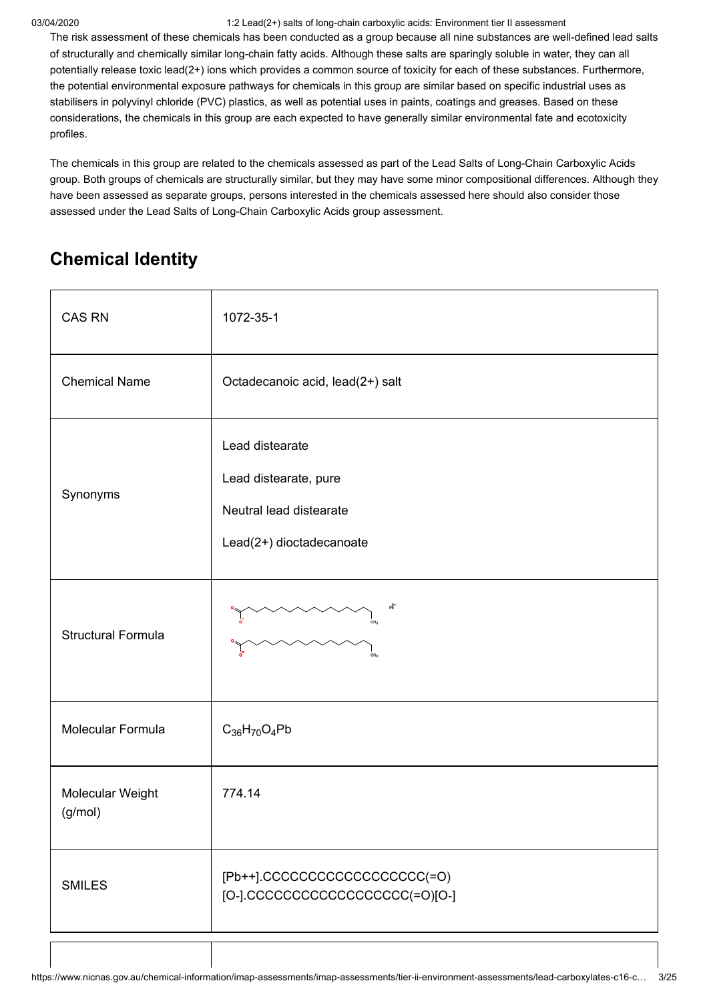The risk assessment of these chemicals has been conducted as a group because all nine substances are well-defined lead salts of structurally and chemically similar long-chain fatty acids. Although these salts are sparingly soluble in water, they can all potentially release toxic lead(2+) ions which provides a common source of toxicity for each of these substances. Furthermore, the potential environmental exposure pathways for chemicals in this group are similar based on specific industrial uses as stabilisers in polyvinyl chloride (PVC) plastics, as well as potential uses in paints, coatings and greases. Based on these considerations, the chemicals in this group are each expected to have generally similar environmental fate and ecotoxicity profiles.

The chemicals in this group are related to the chemicals assessed as part of the Lead Salts of Long-Chain Carboxylic Acids group. Both groups of chemicals are structurally similar, but they may have some minor compositional differences. Although they have been assessed as separate groups, persons interested in the chemicals assessed here should also consider those assessed under the Lead Salts of Long-Chain Carboxylic Acids group assessment.

# <span id="page-2-0"></span>**Chemical Identity**

| <b>CAS RN</b>               | 1072-35-1                                                                                       |
|-----------------------------|-------------------------------------------------------------------------------------------------|
| <b>Chemical Name</b>        | Octadecanoic acid, lead(2+) salt                                                                |
| Synonyms                    | Lead distearate<br>Lead distearate, pure<br>Neutral lead distearate<br>Lead(2+) dioctadecanoate |
| <b>Structural Formula</b>   | 吖<br>CH <sub>3</sub>                                                                            |
| Molecular Formula           | $C_{36}H_{70}O_4Pb$                                                                             |
| Molecular Weight<br>(g/mol) | 774.14                                                                                          |
| <b>SMILES</b>               | [Pb++].CCCCCCCCCCCCCCCCCC(=O)<br>[O-].CCCCCCCCCCCCCCCCCC(=O)[O-]                                |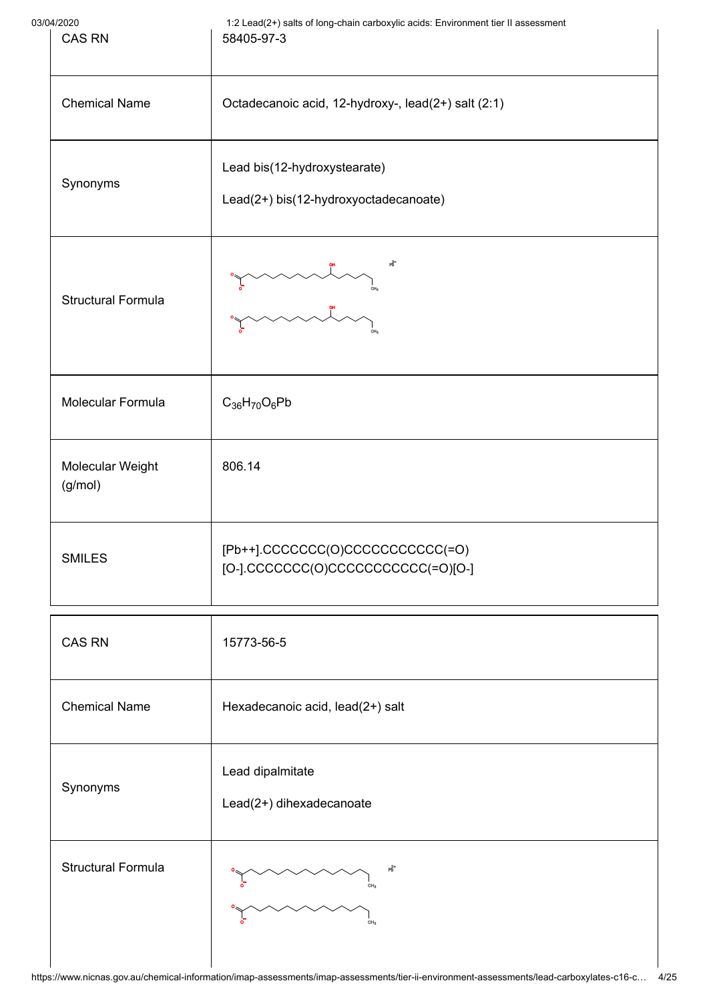| 03/04/2020 | 1:2 Lead(2+) salts of long-chain carboxylic acids: Environment tier II assessment |
|------------|-----------------------------------------------------------------------------------|
| CAS RN     | 58405-97-3                                                                        |

| 04/2020<br><b>CAS RN</b>    | 1:2 Lead(2+) saits of long-chain carboxylic acids: Environment tier if assessment<br>58405-97-3<br>Octadecanoic acid, 12-hydroxy-, lead(2+) salt (2:1) |  |
|-----------------------------|--------------------------------------------------------------------------------------------------------------------------------------------------------|--|
| <b>Chemical Name</b>        |                                                                                                                                                        |  |
| Synonyms                    | Lead bis(12-hydroxystearate)<br>Lead(2+) bis(12-hydroxyoctadecanoate)                                                                                  |  |
| <b>Structural Formula</b>   | 略<br>CH <sub>3</sub>                                                                                                                                   |  |
| Molecular Formula           | $C_{36}H_{70}O_6Pb$                                                                                                                                    |  |
| Molecular Weight<br>(g/mol) | 806.14                                                                                                                                                 |  |
| <b>SMILES</b>               | [Pb++].CCCCCCC(O)CCCCCCCCCCC(=O)<br>[O-].CCCCCCC(O)CCCCCCCCCCC(=O)[O-]                                                                                 |  |
| <b>CAS RN</b>               | 15773-56-5                                                                                                                                             |  |
| <b>Chemical Name</b>        | Hexadecanoic acid, lead(2+) salt                                                                                                                       |  |
| Synonyms                    | Lead dipalmitate<br>Lead(2+) dihexadecanoate                                                                                                           |  |
| <b>Structural Formula</b>   | РÊ,<br>CH <sub>3</sub>                                                                                                                                 |  |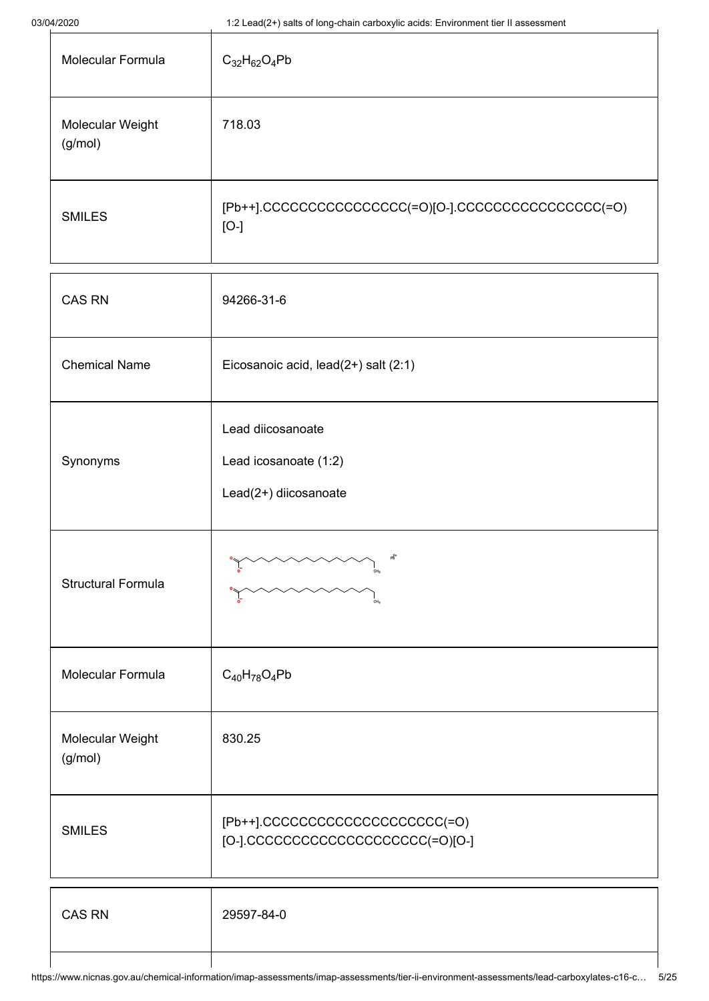| 03/04/2020                                                                                  | 1:2 Lead(2+) salts of long-chain carboxylic acids: Environment tier II assessment |          |
|---------------------------------------------------------------------------------------------|-----------------------------------------------------------------------------------|----------|
| Molecular Formula                                                                           | $C_{32}H_{62}O_4Pb$                                                               |          |
| Molecular Weight<br>(g/mol)                                                                 | 718.03                                                                            |          |
| <b>SMILES</b>                                                                               | [Pb++].CCCCCCCCCCCCCCCC(=O)[O-].CCCCCCCCCCCCCCCC(=O)<br>$[O-]$                    |          |
| <b>CAS RN</b><br>94266-31-6<br><b>Chemical Name</b><br>Eicosanoic acid, lead(2+) salt (2:1) |                                                                                   |          |
|                                                                                             |                                                                                   | Synonyms |
| <b>Structural Formula</b>                                                                   | 啼                                                                                 |          |
| <b>Molecular Formula</b>                                                                    | $C_{40}H_{78}O_4Pb$                                                               |          |
| Molecular Weight<br>(g/mol)                                                                 | 830.25                                                                            |          |
| <b>SMILES</b>                                                                               | [Pb++].CCCCCCCCCCCCCCCCCCCC(=O)<br>[O-].CCCCCCCCCCCCCCCCCCCC(=O)[O-]              |          |

| <b>CAS RN</b> | 29597-84-0 |
|---------------|------------|
|               |            |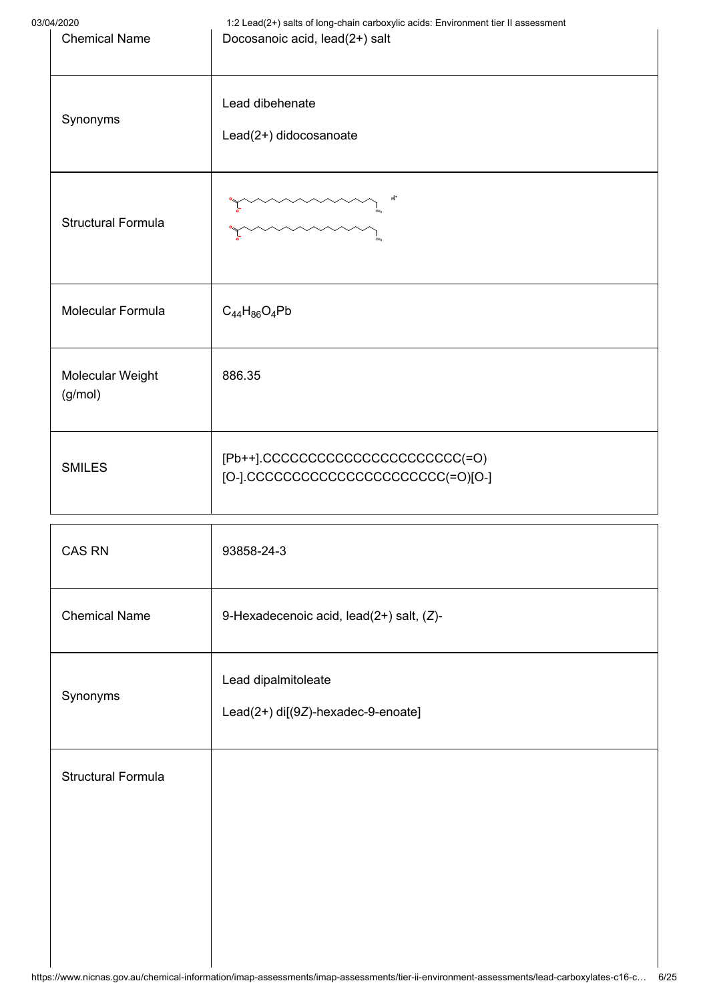| 03/04/2020<br><b>Chemical Name</b> |                             | 1:2 Lead(2+) salts of long-chain carboxylic acids: Environment tier II assessment<br>Docosanoic acid, lead(2+) salt |  |
|------------------------------------|-----------------------------|---------------------------------------------------------------------------------------------------------------------|--|
|                                    | Synonyms                    | Lead dibehenate<br>Lead(2+) didocosanoate                                                                           |  |
|                                    | <b>Structural Formula</b>   | mummu                                                                                                               |  |
|                                    | Molecular Formula           | $C_{44}H_{86}O_4Pb$                                                                                                 |  |
|                                    | Molecular Weight<br>(g/mol) | 886.35                                                                                                              |  |
|                                    | <b>SMILES</b>               | [Pb++].CCCCCCCCCCCCCCCCCCCCCCC(=O)<br>[O-].CCCCCCCCCCCCCCCCCCCCCC(=O)[O-]                                           |  |
| CAS RN<br>93858-24-3               |                             |                                                                                                                     |  |
|                                    | <b>Chemical Name</b>        | 9-Hexadecenoic acid, lead(2+) salt, (Z)-                                                                            |  |
|                                    | Synonyms                    | Lead dipalmitoleate<br>Lead(2+) di[(9Z)-hexadec-9-enoate]                                                           |  |
|                                    | <b>Structural Formula</b>   |                                                                                                                     |  |
|                                    |                             |                                                                                                                     |  |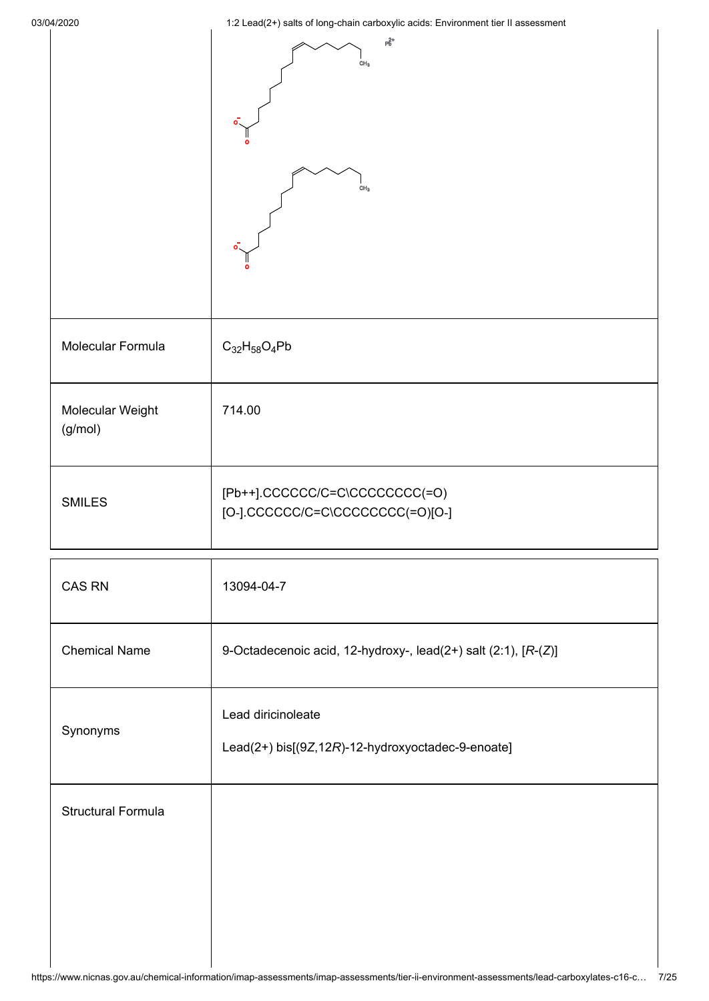|                             | $\mathsf{P}^{\mathsf{2+}}_\mathsf{D}$<br>CH <sub>3</sub><br>CH <sub>3</sub> |
|-----------------------------|-----------------------------------------------------------------------------|
| Molecular Formula           | $C_{32}H_{58}O_4Pb$                                                         |
| Molecular Weight<br>(g/mol) | 714.00                                                                      |
| <b>SMILES</b>               | [Pb++].CCCCCC/C=C\CCCCCCCC(=O)<br>[O-].CCCCCC/C=C\CCCCCCCC(=O)[O-]          |
| <b>CAS RN</b>               | 13094-04-7                                                                  |
| <b>Chemical Name</b>        | 9-Octadecenoic acid, 12-hydroxy-, lead(2+) salt (2:1), [R-(Z)]              |
| Synonyms                    | Lead diricinoleate<br>Lead(2+) bis[(9Z,12R)-12-hydroxyoctadec-9-enoate]     |
| <b>Structural Formula</b>   |                                                                             |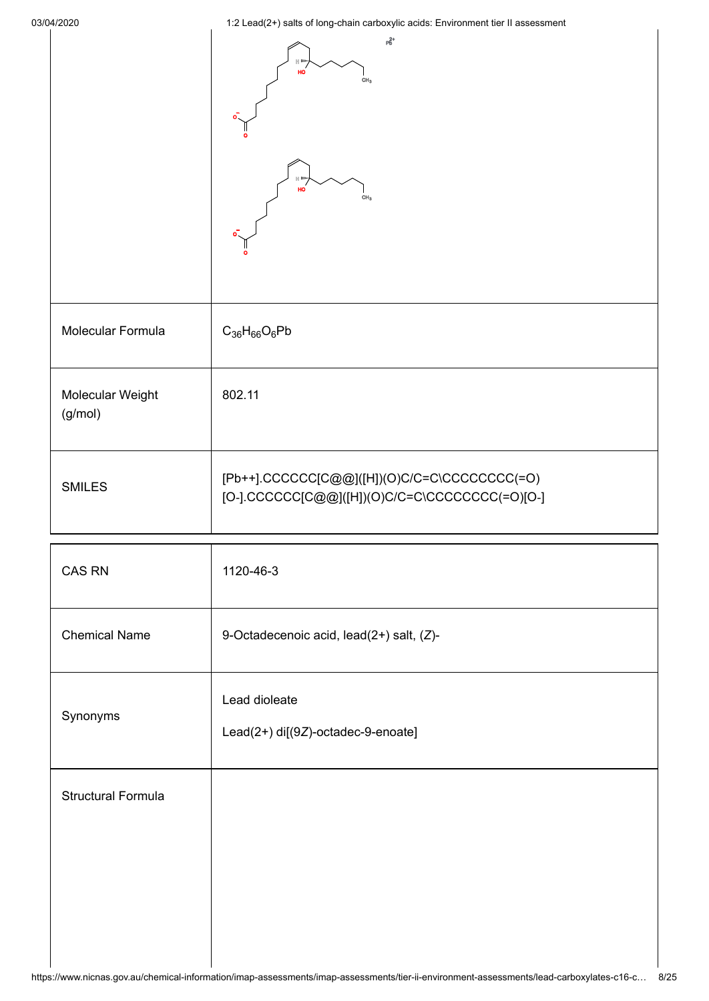|                             | $\mathsf{P}^\mathsf{2+}_\mathsf{D}$<br>HO<br>CH <sub>3</sub><br><b>H</b> 100<br>HO<br>CH <sub>3</sub>      |
|-----------------------------|------------------------------------------------------------------------------------------------------------|
| Molecular Formula           | $C_{36}H_{66}O_6Pb$                                                                                        |
| Molecular Weight<br>(g/mol) | 802.11                                                                                                     |
| <b>SMILES</b>               | $[Pb++].CCCCC[C@@] ([H])(O)C/C=C\backslash CCCCCCC(C=O)$<br>[O-].CCCCCC[C@@]([H])(O)C/C=C\CCCCCCCC(=O)[O-] |

| CAS RN                    | 1120-46-3                                           |
|---------------------------|-----------------------------------------------------|
| <b>Chemical Name</b>      | 9-Octadecenoic acid, lead(2+) salt, (Z)-            |
| Synonyms                  | Lead dioleate<br>Lead(2+) di[(9Z)-octadec-9-enoate] |
| <b>Structural Formula</b> |                                                     |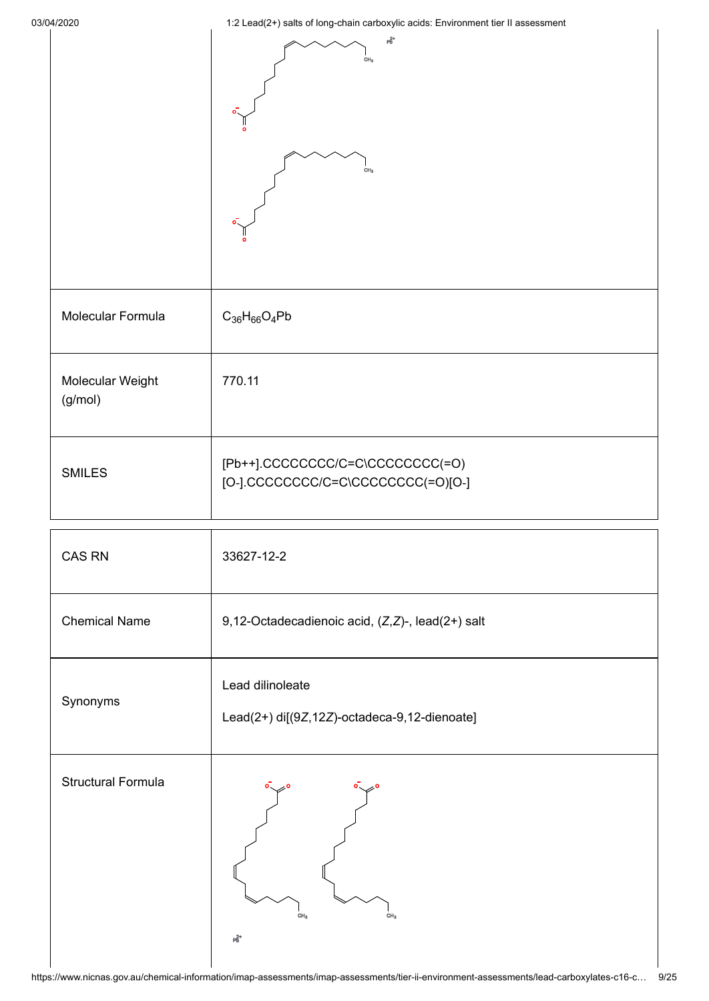|                             | $p_6^{2+}$<br>CH <sub>3</sub><br>CH <sub>3</sub>                       |
|-----------------------------|------------------------------------------------------------------------|
| Molecular Formula           | $C_{36}H_{66}O_4Pb$                                                    |
| Molecular Weight<br>(g/mol) | 770.11                                                                 |
| <b>SMILES</b>               | [Pb++].CCCCCCCC/C=C\CCCCCCCC(=O)<br>[O-].CCCCCCCC/C=C\CCCCCCCC(=O)[O-] |
| <b>CAS RN</b>               | 33627-12-2                                                             |
| <b>Chemical Name</b>        | 9,12-Octadecadienoic acid, (Z,Z)-, lead(2+) salt                       |
| Synonyms                    | Lead dilinoleate<br>Lead(2+) di[(9Z,12Z)-octadeca-9,12-dienoate]       |
| <b>Structural Formula</b>   | CH <sub>3</sub><br>CH <sub>3</sub><br>$p_b^{2+}$                       |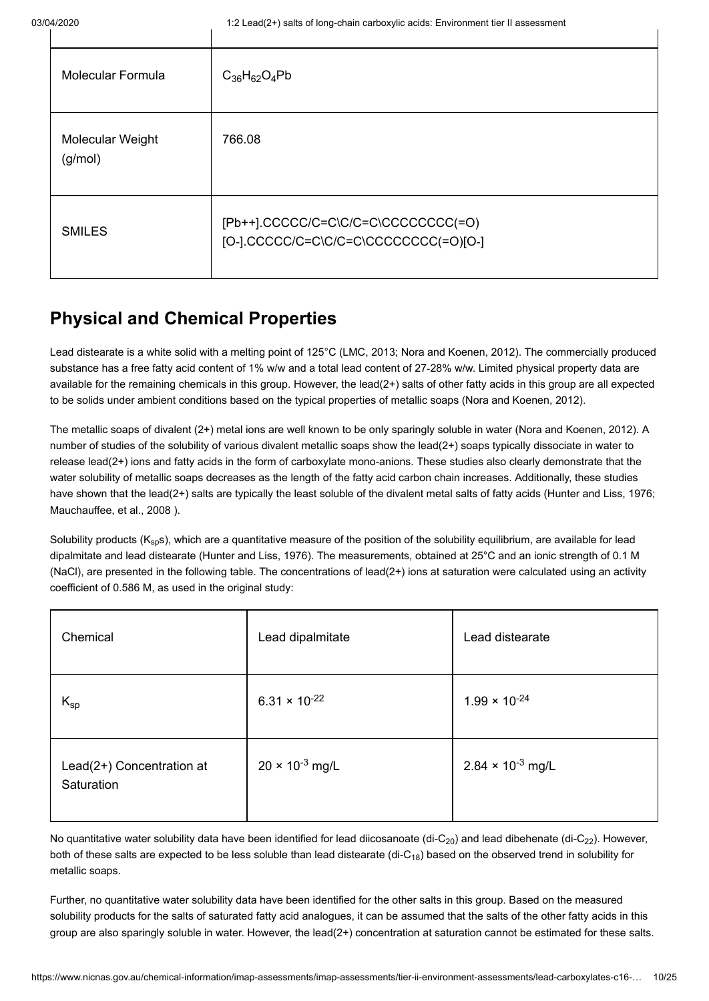| <b>Molecular Formula</b>    | $C_{36}H_{62}O_4Pb$                                                            |
|-----------------------------|--------------------------------------------------------------------------------|
| Molecular Weight<br>(g/mol) | 766.08                                                                         |
| <b>SMILES</b>               | [Pb++].CCCCC/C=C\C/C=C\CCCCCCCCC(=O)<br>[O-].CCCCC/C=C\C/C=C\CCCCCCCCC(=O)[O-] |

# <span id="page-9-0"></span>**Physical and Chemical Properties**

Lead distearate is a white solid with a melting point of 125°C ([LMC, 2013;](#page-22-0) [Nora and Koenen, 2012](#page-22-1)). The commercially produced substance has a free fatty acid content of 1% w/w and a total lead content of 27‑28% w/w. Limited physical property data are available for the remaining chemicals in this group. However, the lead(2+) salts of other fatty acids in this group are all expected to be solids under ambient conditions based on the typical properties of metallic soaps ([Nora and Koenen, 2012](#page-22-1)).

The metallic soaps of divalent (2+) metal ions are well known to be only sparingly soluble in water ([Nora and Koenen, 2012](#page-22-1)). A number of studies of the solubility of various divalent metallic soaps show the lead(2+) soaps typically dissociate in water to release lead(2+) ions and fatty acids in the form of carboxylate mono-anions. These studies also clearly demonstrate that the water solubility of metallic soaps decreases as the length of the fatty acid carbon chain increases. Additionally, these studies have shown that the lead(2+) salts are typically the least soluble of the divalent metal salts of fatty acids ([Hunter and Liss, 1976;](#page-22-2) [Mauchauffee, et al., 2008 \)](#page-22-3).

Solubility products (K<sub>sp</sub>s), which are a quantitative measure of the position of the solubility equilibrium, are available for lead dipalmitate and lead distearate [\(Hunter and Liss, 1976](#page-22-2)). The measurements, obtained at 25°C and an ionic strength of 0.1 M (NaCl), are presented in the following table. The concentrations of lead(2+) ions at saturation were calculated using an activity coefficient of 0.586 M, as used in the original study:

| Chemical                                | Lead dipalmitate         | Lead distearate            |
|-----------------------------------------|--------------------------|----------------------------|
| $K_{sp}$                                | $6.31 \times 10^{-22}$   | $1.99 \times 10^{-24}$     |
| Lead(2+) Concentration at<br>Saturation | $20 \times 10^{-3}$ mg/L | $2.84 \times 10^{-3}$ mg/L |

No quantitative water solubility data have been identified for lead diicosanoate (di-C $_{20}$ ) and lead dibehenate (di-C $_{22}$ ). However, both of these salts are expected to be less soluble than lead distearate (di-C<sub>18</sub>) based on the observed trend in solubility for metallic soaps.

Further, no quantitative water solubility data have been identified for the other salts in this group. Based on the measured solubility products for the salts of saturated fatty acid analogues, it can be assumed that the salts of the other fatty acids in this group are also sparingly soluble in water. However, the lead(2+) concentration at saturation cannot be estimated for these salts.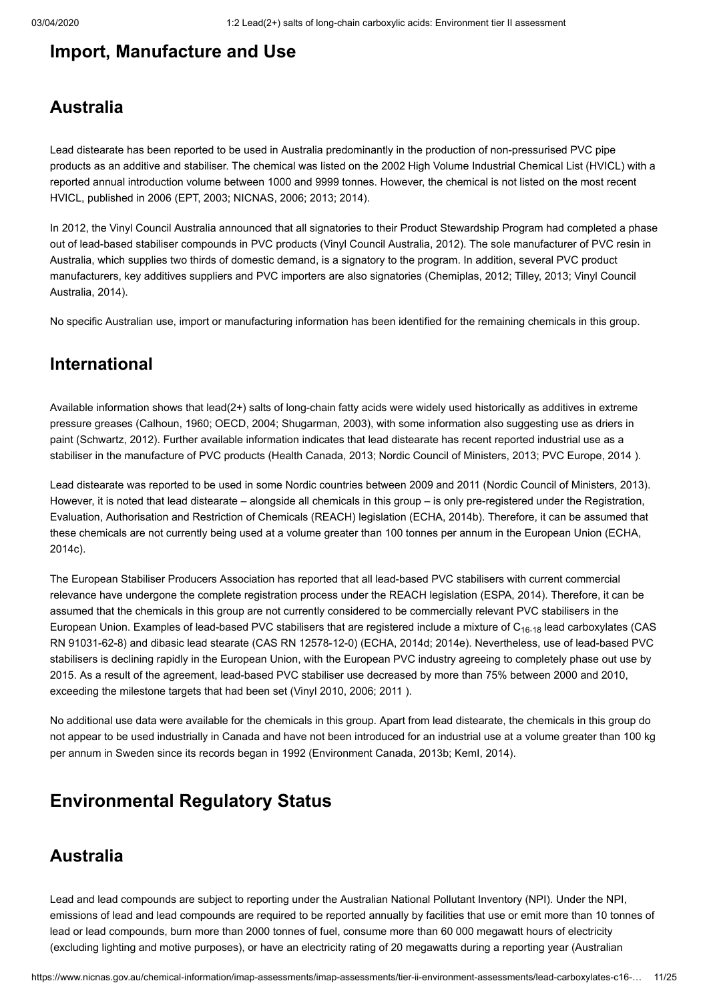# <span id="page-10-0"></span>**Import, Manufacture and Use**

## **Australia**

Lead distearate has been reported to be used in Australia predominantly in the production of non-pressurised PVC pipe products as an additive and stabiliser. The chemical was listed on the 2002 High Volume Industrial Chemical List (HVICL) with a reported annual introduction volume between 1000 and 9999 tonnes. However, the chemical is not listed on the most recent HVICL, published in 2006 [\(EPT, 2003](#page-22-4); [NICNAS, 2006](#page-22-5); [2013](#page-22-6); [2014](#page-22-7)).

In 2012, the Vinyl Council Australia announced that all signatories to their Product Stewardship Program had completed a phase out of lead-based stabiliser compounds in PVC products ([Vinyl Council Australia, 2012](#page-24-0)). The sole manufacturer of PVC resin in Australia, which supplies two thirds of domestic demand, is a signatory to the program. In addition, several PVC product [manufacturers, key additives suppliers and PVC importers are also signatories \(C](#page-24-1)[hemiplas, 2012](#page-21-1)[;](#page-24-1) [Tilley, 201](#page-23-0)[3; Vinyl Council](#page-24-1) Australia, 2014).

No specific Australian use, import or manufacturing information has been identified for the remaining chemicals in this group.

## **International**

Available information shows that lead(2+) salts of long-chain fatty acids were widely used historically as additives in extreme pressure greases [\(Calhoun, 1960;](#page-21-2) [OECD, 2004;](#page-23-1) [Shugarman, 2003](#page-23-2)), with some information also suggesting use as driers in paint [\(Schwartz, 2012](#page-23-3)). Further available information indicates that lead distearate has recent reported industrial use as a stabiliser in the manufacture of PVC products [\(Health Canada, 2013;](#page-22-8) [Nordic Council of Ministers, 2013](#page-22-9); [PVC Europe, 2014 \)](#page-23-4).

Lead distearate was reported to be used in some Nordic countries between 2009 and 2011 ([Nordic Council of Ministers, 2013\)](#page-22-9). However, it is noted that lead distearate – alongside all chemicals in this group – is only pre-registered under the Registration, Evaluation, Authorisation and Restriction of Chemicals (REACH) legislation ([ECHA, 2014b\)](#page-21-3). Therefore, it can be assumed that [these chemicals are not currently being used at a volume greater than 100 tonnes per annum in the European Union \(ECHA,](#page-21-4) 2014c).

The European Stabiliser Producers Association has reported that all lead-based PVC stabilisers with current commercial relevance have undergone the complete registration process under the REACH legislation ([ESPA, 2014\)](#page-22-10). Therefore, it can be assumed that the chemicals in this group are not currently considered to be commercially relevant PVC stabilisers in the European Union. Examples of lead-based PVC stabilisers that are registered include a mixture of C<sub>16-18</sub> lead carboxylates (CAS RN 91031-62-8) and dibasic lead stearate (CAS RN 12578-12-0) ([ECHA, 2014d;](#page-21-5) [2014e\)](#page-21-6). Nevertheless, use of lead-based PVC stabilisers is declining rapidly in the European Union, with the European PVC industry agreeing to completely phase out use by 2015. As a result of the agreement, lead-based PVC stabiliser use decreased by more than 75% between 2000 and 2010, exceeding the milestone targets that had been set ([Vinyl 2010, 2006;](#page-24-2) [2011 \)](#page-24-3).

No additional use data were available for the chemicals in this group. Apart from lead distearate, the chemicals in this group do not appear to be used industrially in Canada and have not been introduced for an industrial use at a volume greater than 100 kg per annum in Sweden since its records began in 1992 ([Environment Canada, 2013b;](#page-22-11) [KemI, 2014\)](#page-22-12).

# <span id="page-10-1"></span>**Environmental Regulatory Status**

## **Australia**

Lead and lead compounds are subject to reporting under the Australian National Pollutant Inventory (NPI). Under the NPI, emissions of lead and lead compounds are required to be reported annually by facilities that use or emit more than 10 tonnes of lead or lead compounds, burn more than 2000 tonnes of fuel, consume more than 60 000 megawatt hours of electricity [\(excluding lighting and motive purposes\), or have an electricity rating of 20 megawatts during a reporting year \(Australian](#page-21-7)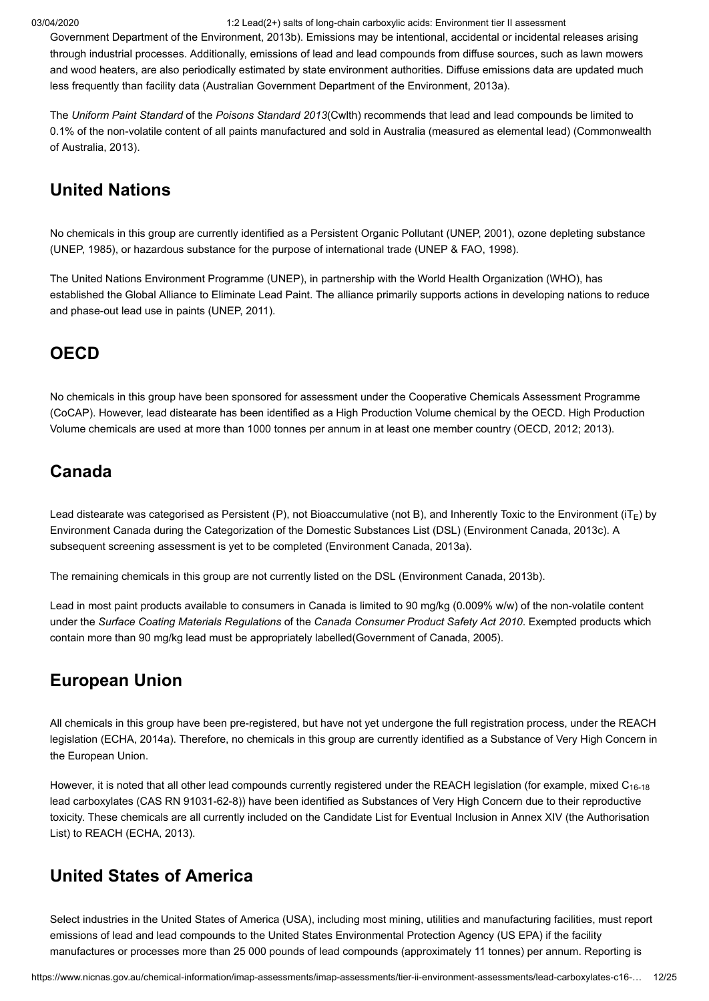[Government Department of the Environment, 2013b\). Emissions may be intentional, accidental or incidental releases aris](#page-21-7)ing through industrial processes. Additionally, emissions of lead and lead compounds from diffuse sources, such as lawn mowers and wood heaters, are also periodically estimated by state environment authorities. Diffuse emissions data are updated much less frequently than facility data [\(Australian Government Department of the Environment, 2013a\)](#page-21-8).

The *Uniform Paint Standard* of the *Poisons Standard 2013*(Cwlth) recommends that lead and lead compounds be limited to [0.1% of the non-volatile content of all paints manufactured and sold in Australia \(measured as elemental lead\) \(Commonwealth](#page-21-9) of Australia, 2013).

# **United Nations**

No chemicals in this group are currently identified as a Persistent Organic Pollutant ([UNEP, 2001\)](#page-23-5), ozone depleting substance ([UNEP, 1985\)](#page-23-6), or hazardous substance for the purpose of international trade ([UNEP & FAO, 1998](#page-23-7)).

The United Nations Environment Programme (UNEP), in partnership with the World Health Organization (WHO), has established the Global Alliance to Eliminate Lead Paint. The alliance primarily supports actions in developing nations to reduce and phase-out lead use in paints ([UNEP, 2011\)](#page-23-8).

# **OECD**

No chemicals in this group have been sponsored for assessment under the Cooperative Chemicals Assessment Programme (CoCAP). However, lead distearate has been identified as a High Production Volume chemical by the OECD. High Production Volume chemicals are used at more than 1000 tonnes per annum in at least one member country [\(OECD, 2012](#page-23-9); [2013](#page-23-10)).

# **Canada**

Lead distearate was categorised as Persistent (P), not Bioaccumulative (not B), and Inherently Toxic to the Environment (iT<sub>E</sub>) by Environment Canada during the Categorization of the Domestic Substances List (DSL) [\(Environment Canada, 2013c](#page-22-13)). A subsequent screening assessment is yet to be completed [\(Environment Canada, 2013a\)](#page-22-14).

The remaining chemicals in this group are not currently listed on the DSL ([Environment Canada, 2013b](#page-22-11)).

Lead in most paint products available to consumers in Canada is limited to 90 mg/kg (0.009% w/w) of the non-volatile content under the *Surface Coating Materials Regulations* of the *Canada Consumer Product Safety Act 2010*. Exempted products which contain more than 90 mg/kg lead must be appropriately labelled([Government of Canada, 2005](#page-22-15)).

# **European Union**

All chemicals in this group have been pre-registered, but have not yet undergone the full registration process, under the REACH legislation ([ECHA, 2014a\)](#page-21-10). Therefore, no chemicals in this group are currently identified as a Substance of Very High Concern in the European Union.

However, it is noted that all other lead compounds currently registered under the REACH legislation (for example, mixed C<sub>16-18</sub> lead carboxylates (CAS RN 91031-62-8)) have been identified as Substances of Very High Concern due to their reproductive toxicity. These chemicals are all currently included on the Candidate List for Eventual Inclusion in Annex XIV (the Authorisation List) to REACH ([ECHA, 2013](#page-21-11)).

# **United States of America**

Select industries in the United States of America (USA), including most mining, utilities and manufacturing facilities, must report emissions of lead and lead compounds to the United States Environmental Protection Agency (US EPA) if the facility manufactures or processes more than 25 000 pounds of lead compounds (approximately 11 tonnes) per annum. Reporting is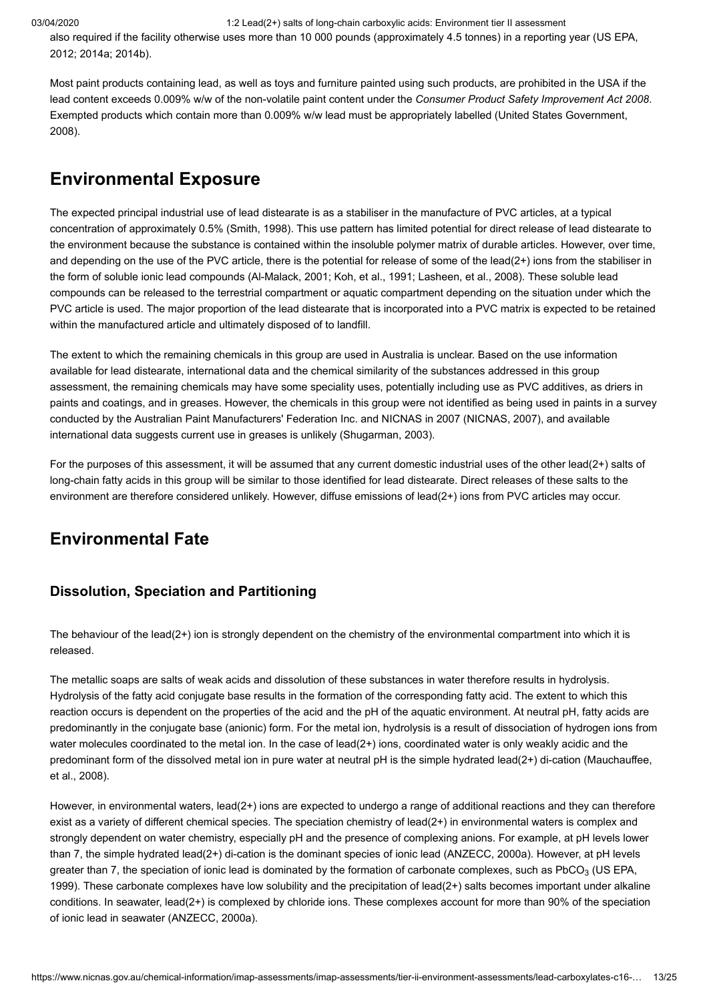[also required if the facility otherwise uses more than 10 000 pounds \(approximately 4.5 tonnes\) in a reporting year \(US EPA,](#page-23-11) 2012; [2014a](#page-23-12); [2014b](#page-24-4)).

Most paint products containing lead, as well as toys and furniture painted using such products, are prohibited in the USA if the lead content exceeds 0.009% w/w of the non-volatile paint content under the *Consumer Product Safety Improvement Act 2008*. [Exempted products which contain more than 0.009% w/w lead must be appropriately labelled \(United States Government,](#page-23-13) 2008).

# <span id="page-12-0"></span>**Environmental Exposure**

The expected principal industrial use of lead distearate is as a stabiliser in the manufacture of PVC articles, at a typical concentration of approximately 0.5% [\(Smith, 1998](#page-23-14)). This use pattern has limited potential for direct release of lead distearate to the environment because the substance is contained within the insoluble polymer matrix of durable articles. However, over time, and depending on the use of the PVC article, there is the potential for release of some of the lead(2+) ions from the stabiliser in the form of soluble ionic lead compounds [\(Al-Malack, 2001](#page-21-12); [Koh, et al., 1991;](#page-22-16) [Lasheen, et al., 2008](#page-22-17)). These soluble lead compounds can be released to the terrestrial compartment or aquatic compartment depending on the situation under which the PVC article is used. The major proportion of the lead distearate that is incorporated into a PVC matrix is expected to be retained within the manufactured article and ultimately disposed of to landfill.

The extent to which the remaining chemicals in this group are used in Australia is unclear. Based on the use information available for lead distearate, international data and the chemical similarity of the substances addressed in this group assessment, the remaining chemicals may have some speciality uses, potentially including use as PVC additives, as driers in paints and coatings, and in greases. However, the chemicals in this group were not identified as being used in paints in a survey conducted by the Australian Paint Manufacturers' Federation Inc. and NICNAS in 2007 ([NICNAS, 2007](#page-22-18)), and available international data suggests current use in greases is unlikely [\(Shugarman, 2003\)](#page-23-2).

For the purposes of this assessment, it will be assumed that any current domestic industrial uses of the other lead(2+) salts of long-chain fatty acids in this group will be similar to those identified for lead distearate. Direct releases of these salts to the environment are therefore considered unlikely. However, diffuse emissions of lead(2+) ions from PVC articles may occur.

# **Environmental Fate**

### **Dissolution, Speciation and Partitioning**

The behaviour of the lead( $2+$ ) ion is strongly dependent on the chemistry of the environmental compartment into which it is released.

The metallic soaps are salts of weak acids and dissolution of these substances in water therefore results in hydrolysis. Hydrolysis of the fatty acid conjugate base results in the formation of the corresponding fatty acid. The extent to which this reaction occurs is dependent on the properties of the acid and the pH of the aquatic environment. At neutral pH, fatty acids are predominantly in the conjugate base (anionic) form. For the metal ion, hydrolysis is a result of dissociation of hydrogen ions from water molecules coordinated to the metal ion. In the case of lead(2+) ions, coordinated water is only weakly acidic and the [predominant form of the dissolved metal ion in pure water at neutral pH is the simple hydrated lead\(2+\) di-cation \(Mauchauffee,](#page-22-3) et al., 2008).

However, in environmental waters, lead(2+) ions are expected to undergo a range of additional reactions and they can therefore exist as a variety of different chemical species. The speciation chemistry of lead(2+) in environmental waters is complex and strongly dependent on water chemistry, especially pH and the presence of complexing anions. For example, at pH levels lower than 7, the simple hydrated lead(2+) di-cation is the dominant species of ionic lead ([ANZECC, 2000a\)](#page-21-13). However, at pH levels greater than 7, the speciation of ionic lead is dominated by the formation of carbonate complexes, such as PbCO $_3$  (US EPA, 1999). These carbonate complexes have low solubility and the precipitation of lead(2+) salts becomes important under alkaline conditions. In seawater, lead(2+) is complexed by chloride ions. These complexes account for more than 90% of the speciation of ionic lead in seawater [\(ANZECC, 2000a](#page-21-13)).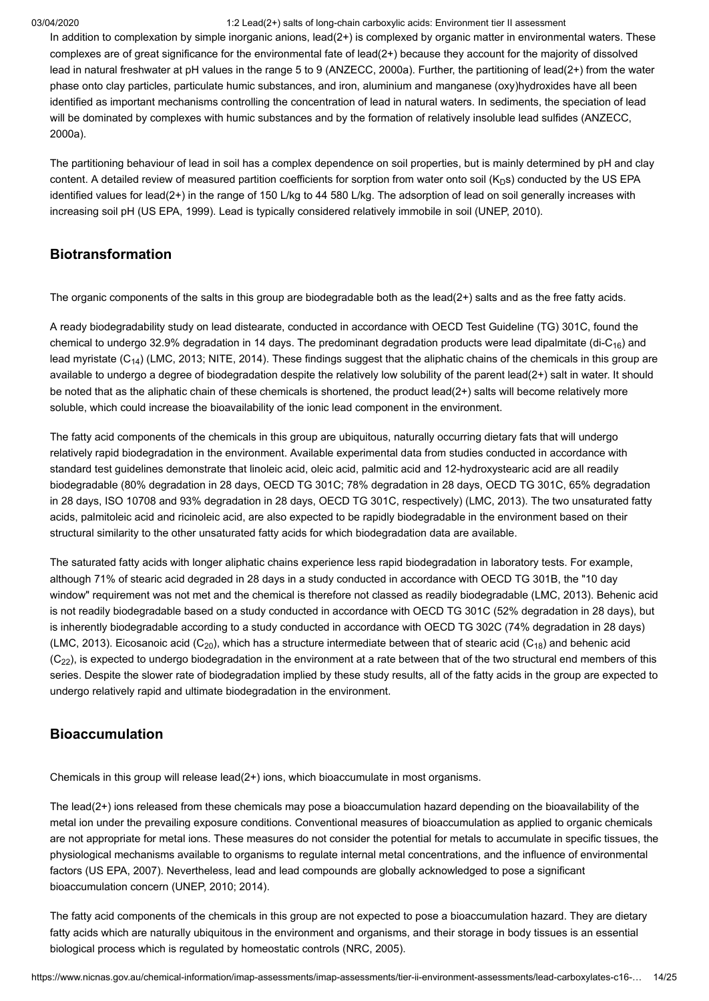In addition to complexation by simple inorganic anions,  $\text{lead}(2+)$  is complexed by organic matter in environmental waters. These complexes are of great significance for the environmental fate of lead(2+) because they account for the majority of dissolved lead in natural freshwater at pH values in the range 5 to 9 [\(ANZECC, 2000a\)](#page-21-13). Further, the partitioning of lead(2+) from the water phase onto clay particles, particulate humic substances, and iron, aluminium and manganese (oxy)hydroxides have all been identified as important mechanisms controlling the concentration of lead in natural waters. In sediments, the speciation of lead [will be dominated by complexes with humic substances and by the formation of relatively insoluble lead sulfides \(ANZECC,](#page-21-13) 2000a).

The partitioning behaviour of lead in soil has a complex dependence on soil properties, but is mainly determined by pH and clay content. A detailed review of measured partition coefficients for sorption from water onto soil (K<sub>D</sub>s) conducted by the US EPA identified values for lead(2+) in the range of 150 L/kg to 44 580 L/kg. The adsorption of lead on soil generally increases with increasing soil pH ([US EPA, 1999\)](#page-23-15). Lead is typically considered relatively immobile in soil [\(UNEP, 2010](#page-23-16)).

#### **Biotransformation**

The organic components of the salts in this group are biodegradable both as the lead(2+) salts and as the free fatty acids.

A ready biodegradability study on lead distearate, conducted in accordance with OECD Test Guideline (TG) 301C, found the chemical to undergo 32.9% degradation in 14 days. The predominant degradation products were lead dipalmitate (di-C<sub>16</sub>) and lead myristate (C<sub>14</sub>) [\(LMC, 2013](#page-22-0); [NITE, 2014\)](#page-22-19). These findings suggest that the aliphatic chains of the chemicals in this group are available to undergo a degree of biodegradation despite the relatively low solubility of the parent lead(2+) salt in water. It should be noted that as the aliphatic chain of these chemicals is shortened, the product lead(2+) salts will become relatively more soluble, which could increase the bioavailability of the ionic lead component in the environment.

The fatty acid components of the chemicals in this group are ubiquitous, naturally occurring dietary fats that will undergo relatively rapid biodegradation in the environment. Available experimental data from studies conducted in accordance with standard test guidelines demonstrate that linoleic acid, oleic acid, palmitic acid and 12-hydroxystearic acid are all readily biodegradable (80% degradation in 28 days, OECD TG 301C; 78% degradation in 28 days, OECD TG 301C, 65% degradation in 28 days, ISO 10708 and 93% degradation in 28 days, OECD TG 301C, respectively) ([LMC, 2013\)](#page-22-0). The two unsaturated fatty acids, palmitoleic acid and ricinoleic acid, are also expected to be rapidly biodegradable in the environment based on their structural similarity to the other unsaturated fatty acids for which biodegradation data are available.

The saturated fatty acids with longer aliphatic chains experience less rapid biodegradation in laboratory tests. For example, although 71% of stearic acid degraded in 28 days in a study conducted in accordance with OECD TG 301B, the "10 day window" requirement was not met and the chemical is therefore not classed as readily biodegradable ([LMC, 2013](#page-22-0)). Behenic acid is not readily biodegradable based on a study conducted in accordance with OECD TG 301C (52% degradation in 28 days), but is inherently biodegradable according to a study conducted in accordance with OECD TG 302C (74% degradation in 28 days) ([LMC, 2013](#page-22-0)). Eicosanoic acid (C $_{20}$ ), which has a structure intermediate between that of stearic acid (C $_{18}$ ) and behenic acid (C $_{\rm 22)}$ , is expected to undergo biodegradation in the environment at a rate between that of the two structural end members of this series. Despite the slower rate of biodegradation implied by these study results, all of the fatty acids in the group are expected to undergo relatively rapid and ultimate biodegradation in the environment.

### **Bioaccumulation**

Chemicals in this group will release lead(2+) ions, which bioaccumulate in most organisms.

The lead(2+) ions released from these chemicals may pose a bioaccumulation hazard depending on the bioavailability of the metal ion under the prevailing exposure conditions. Conventional measures of bioaccumulation as applied to organic chemicals are not appropriate for metal ions. These measures do not consider the potential for metals to accumulate in specific tissues, the physiological mechanisms available to organisms to regulate internal metal concentrations, and the influence of environmental factors [\(US EPA, 2007\)](#page-23-17). Nevertheless, lead and lead compounds are globally acknowledged to pose a significant bioaccumulation concern [\(UNEP, 2010;](#page-23-16) [2014](#page-23-18)).

The fatty acid components of the chemicals in this group are not expected to pose a bioaccumulation hazard. They are dietary fatty acids which are naturally ubiquitous in the environment and organisms, and their storage in body tissues is an essential biological process which is regulated by homeostatic controls [\(NRC, 2005](#page-22-20)).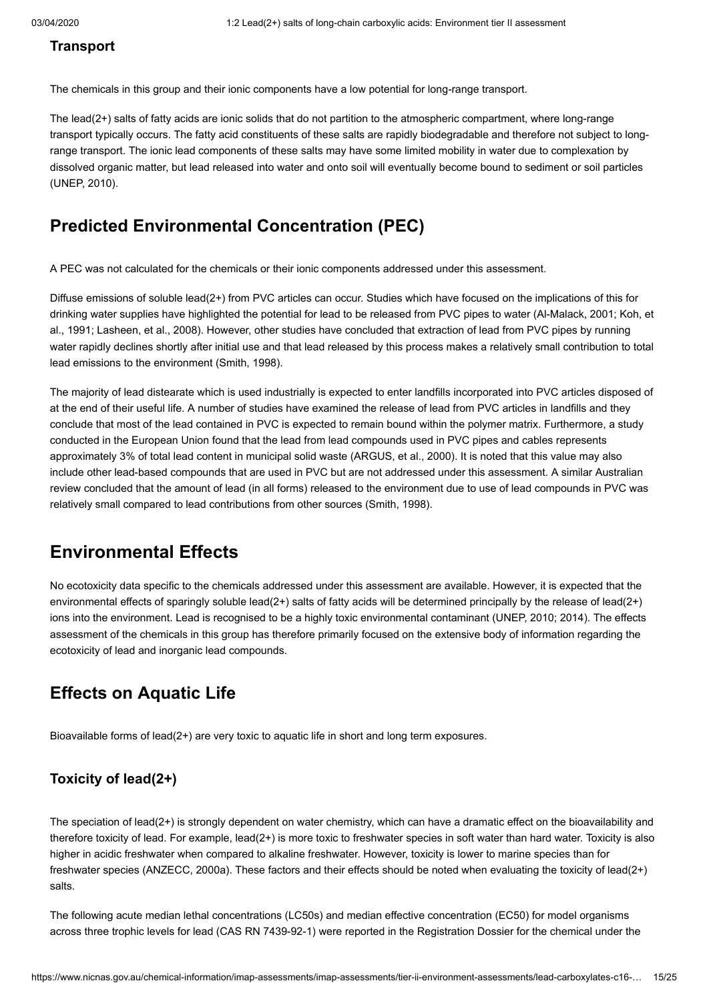#### **Transport**

The chemicals in this group and their ionic components have a low potential for long-range transport.

The lead(2+) salts of fatty acids are ionic solids that do not partition to the atmospheric compartment, where long-range transport typically occurs. The fatty acid constituents of these salts are rapidly biodegradable and therefore not subject to longrange transport. The ionic lead components of these salts may have some limited mobility in water due to complexation by dissolved organic matter, but lead released into water and onto soil will eventually become bound to sediment or soil particles ([UNEP, 2010\)](#page-23-16).

## **Predicted Environmental Concentration (PEC)**

A PEC was not calculated for the chemicals or their ionic components addressed under this assessment.

Diffuse emissions of soluble lead(2+) from PVC articles can occur. Studies which have focused on the implications of this for [drinking water supplies have highlighted the potential for lead to be released from PVC pipes to water \(A](#page-22-16)[l-Malack, 200](#page-21-12)[1; Koh, et](#page-22-16) al., 1991; [Lasheen, et al., 2008\)](#page-22-17). However, other studies have concluded that extraction of lead from PVC pipes by running water rapidly declines shortly after initial use and that lead released by this process makes a relatively small contribution to total lead emissions to the environment [\(Smith, 1998](#page-23-14)).

The majority of lead distearate which is used industrially is expected to enter landfills incorporated into PVC articles disposed of at the end of their useful life. A number of studies have examined the release of lead from PVC articles in landfills and they conclude that most of the lead contained in PVC is expected to remain bound within the polymer matrix. Furthermore, a study conducted in the European Union found that the lead from lead compounds used in PVC pipes and cables represents approximately 3% of total lead content in municipal solid waste [\(ARGUS, et al., 2000\)](#page-21-14). It is noted that this value may also include other lead-based compounds that are used in PVC but are not addressed under this assessment. A similar Australian review concluded that the amount of lead (in all forms) released to the environment due to use of lead compounds in PVC was relatively small compared to lead contributions from other sources ([Smith, 1998\)](#page-23-14).

## <span id="page-14-0"></span>**Environmental Effects**

No ecotoxicity data specific to the chemicals addressed under this assessment are available. However, it is expected that the environmental effects of sparingly soluble lead(2+) salts of fatty acids will be determined principally by the release of lead(2+) ions into the environment. Lead is recognised to be a highly toxic environmental contaminant [\(UNEP, 2010](#page-23-16); [2014](#page-23-18)). The effects assessment of the chemicals in this group has therefore primarily focused on the extensive body of information regarding the ecotoxicity of lead and inorganic lead compounds.

## **Effects on Aquatic Life**

Bioavailable forms of lead(2+) are very toxic to aquatic life in short and long term exposures.

#### **Toxicity of lead(2+)**

The speciation of lead(2+) is strongly dependent on water chemistry, which can have a dramatic effect on the bioavailability and therefore toxicity of lead. For example, lead(2+) is more toxic to freshwater species in soft water than hard water. Toxicity is also higher in acidic freshwater when compared to alkaline freshwater. However, toxicity is lower to marine species than for freshwater species [\(ANZECC, 2000a\)](#page-21-13). These factors and their effects should be noted when evaluating the toxicity of lead(2+) salts.

The following acute median lethal concentrations (LC50s) and median effective concentration (EC50) for model organisms across three trophic levels for lead (CAS RN 7439-92-1) were reported in the Registration Dossier for the chemical under the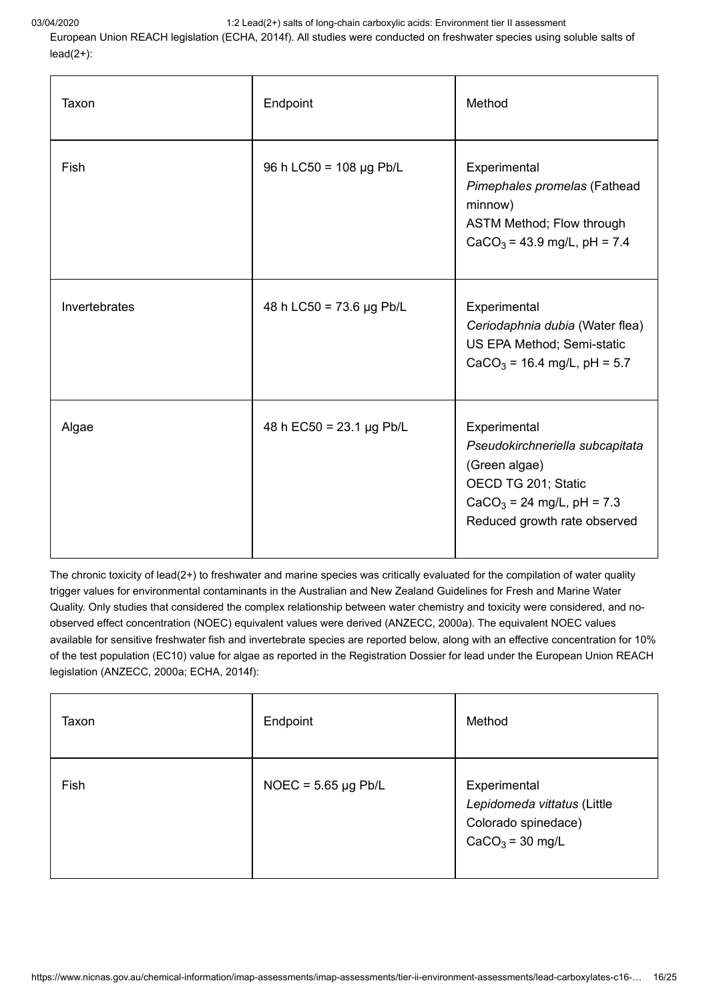European Union REACH legislation [\(ECHA, 2014f\)](#page-21-15). All studies were conducted on freshwater species using soluble salts of  $lead(2+)$ :

| Taxon         | Endpoint                        | Method                                                                                                                                                 |
|---------------|---------------------------------|--------------------------------------------------------------------------------------------------------------------------------------------------------|
| <b>Fish</b>   | 96 h LC50 = 108 µg Pb/L         | Experimental<br>Pimephales promelas (Fathead<br>minnow)<br>ASTM Method; Flow through<br>$CaCO3 = 43.9$ mg/L, pH = 7.4                                  |
| Invertebrates | 48 h LC50 = 73.6 µg Pb/L        | Experimental<br>Ceriodaphnia dubia (Water flea)<br>US EPA Method; Semi-static<br>$CaCO3 = 16.4$ mg/L, pH = 5.7                                         |
| Algae         | 48 h EC50 = $23.1 \,\mu$ g Pb/L | Experimental<br>Pseudokirchneriella subcapitata<br>(Green algae)<br>OECD TG 201; Static<br>$CaCO3 = 24$ mg/L, pH = 7.3<br>Reduced growth rate observed |

The chronic toxicity of lead(2+) to freshwater and marine species was critically evaluated for the compilation of water quality trigger values for environmental contaminants in the Australian and New Zealand Guidelines for Fresh and Marine Water Quality. Only studies that considered the complex relationship between water chemistry and toxicity were considered, and noobserved effect concentration (NOEC) equivalent values were derived ([ANZECC, 2000a](#page-21-13)). The equivalent NOEC values available for sensitive freshwater fish and invertebrate species are reported below, along with an effective concentration for 10% of the test population (EC10) value for algae as reported in the Registration Dossier for lead under the European Union REACH legislation ([ANZECC, 2000a;](#page-21-13) [ECHA, 2014f](#page-21-15)):

| Taxon | Endpoint                 | Method                                                                                  |
|-------|--------------------------|-----------------------------------------------------------------------------------------|
| Fish  | NOEC = $5.65 \mu g$ Pb/L | Experimental<br>Lepidomeda vittatus (Little<br>Colorado spinedace)<br>$CaCO3 = 30$ mg/L |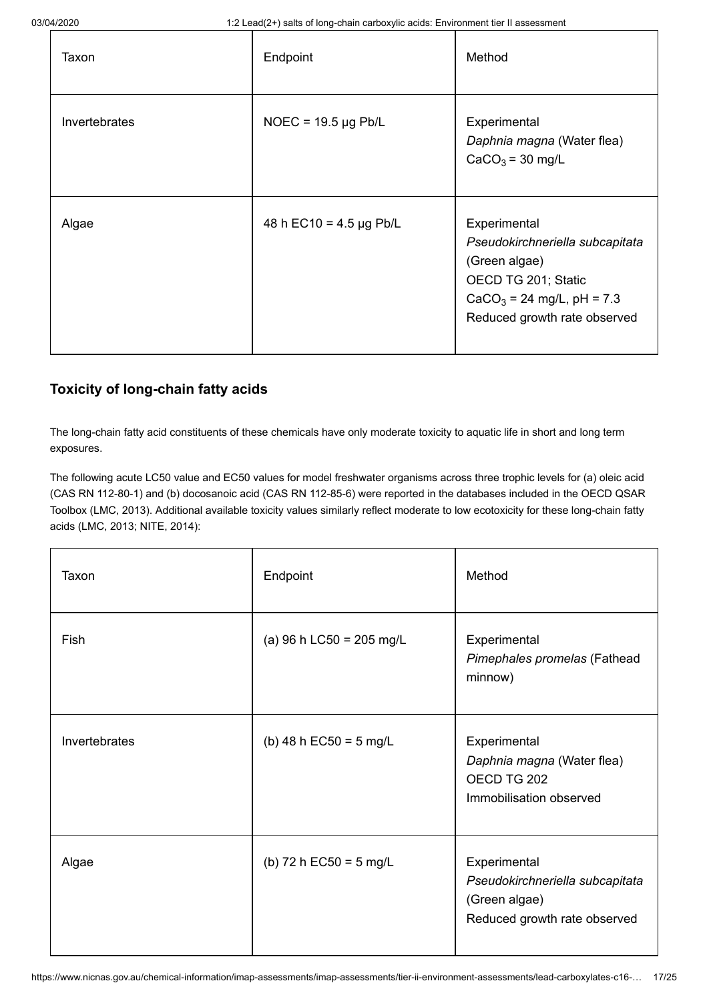| Taxon         | Endpoint                     | Method                                                                                                                                                 |
|---------------|------------------------------|--------------------------------------------------------------------------------------------------------------------------------------------------------|
| Invertebrates | NOEC = $19.5 \mu g$ Pb/L     | Experimental<br>Daphnia magna (Water flea)<br>$CaCO3 = 30$ mg/L                                                                                        |
| Algae         | 48 h EC10 = $4.5 \mu$ g Pb/L | Experimental<br>Pseudokirchneriella subcapitata<br>(Green algae)<br>OECD TG 201; Static<br>$CaCO3 = 24$ mg/L, pH = 7.3<br>Reduced growth rate observed |

### **Toxicity of long-chain fatty acids**

The long-chain fatty acid constituents of these chemicals have only moderate toxicity to aquatic life in short and long term exposures.

The following acute LC50 value and EC50 values for model freshwater organisms across three trophic levels for (a) oleic acid (CAS RN 112-80-1) and (b) docosanoic acid (CAS RN 112-85-6) were reported in the databases included in the OECD QSAR Toolbox ([LMC, 2013](#page-22-0)). Additional available toxicity values similarly reflect moderate to low ecotoxicity for these long-chain fatty acids [\(LMC, 2013;](#page-22-0) [NITE, 2014](#page-22-19)):

| Taxon         | Endpoint                 | Method                                                                                           |
|---------------|--------------------------|--------------------------------------------------------------------------------------------------|
| Fish          | (a) 96 h LC50 = 205 mg/L | Experimental<br>Pimephales promelas (Fathead<br>minnow)                                          |
| Invertebrates | (b) 48 h EC50 = 5 mg/L   | Experimental<br>Daphnia magna (Water flea)<br>OECD TG 202<br>Immobilisation observed             |
| Algae         | (b) 72 h EC50 = 5 mg/L   | Experimental<br>Pseudokirchneriella subcapitata<br>(Green algae)<br>Reduced growth rate observed |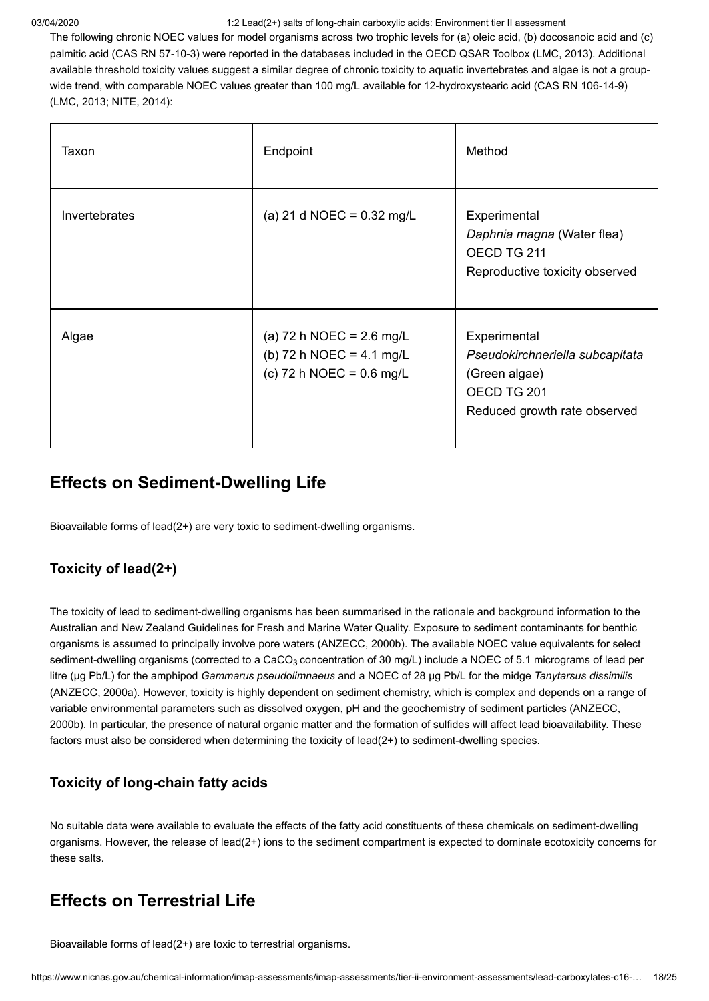The following chronic NOEC values for model organisms across two trophic levels for (a) oleic acid, (b) docosanoic acid and (c) palmitic acid (CAS RN 57-10-3) were reported in the databases included in the OECD QSAR Toolbox [\(LMC, 2013](#page-22-0)). Additional available threshold toxicity values suggest a similar degree of chronic toxicity to aquatic invertebrates and algae is not a groupwide trend, with comparable NOEC values greater than 100 mg/L available for 12-hydroxystearic acid (CAS RN 106-14-9) ([LMC, 2013](#page-22-0); [NITE, 2014\)](#page-22-19):

| Taxon         | Endpoint                                                                                               | Method                                                                                                          |
|---------------|--------------------------------------------------------------------------------------------------------|-----------------------------------------------------------------------------------------------------------------|
| Invertebrates | (a) 21 d NOEC = $0.32 \text{ mg/L}$                                                                    | Experimental<br>Daphnia magna (Water flea)<br>OECD TG 211<br>Reproductive toxicity observed                     |
| Algae         | (a) 72 h NOEC = $2.6 \text{ mg/L}$<br>(b) 72 h NOEC = $4.1 \text{ mg/L}$<br>(c) 72 h NOEC = $0.6$ mg/L | Experimental<br>Pseudokirchneriella subcapitata<br>(Green algae)<br>OECD TG 201<br>Reduced growth rate observed |

# **Effects on Sediment-Dwelling Life**

Bioavailable forms of lead(2+) are very toxic to sediment-dwelling organisms.

### **Toxicity of lead(2+)**

The toxicity of lead to sediment-dwelling organisms has been summarised in the rationale and background information to the Australian and New Zealand Guidelines for Fresh and Marine Water Quality. Exposure to sediment contaminants for benthic organisms is assumed to principally involve pore waters [\(ANZECC, 2000b\)](#page-21-16). The available NOEC value equivalents for select sediment-dwelling organisms (corrected to a CaCO $_3$  concentration of 30 mg/L) include a NOEC of 5.1 micrograms of lead per litre (µg Pb/L) for the amphipod *Gammarus pseudolimnaeus* and a NOEC of 28 µg Pb/L for the midge *Tanytarsus dissimilis* ([ANZECC, 2000a](#page-21-13)). However, toxicity is highly dependent on sediment chemistry, which is complex and depends on a range of variable environmental parameters such as dissolved oxygen, pH and the geochemistry of sediment particles (ANZECC, [2000b\). In particular, the presence of natural organic matter and the formation of sulfides will affect lead bioavailability. Th](#page-21-16)ese factors must also be considered when determining the toxicity of lead(2+) to sediment-dwelling species.

### **Toxicity of long-chain fatty acids**

No suitable data were available to evaluate the effects of the fatty acid constituents of these chemicals on sediment-dwelling organisms. However, the release of lead(2+) ions to the sediment compartment is expected to dominate ecotoxicity concerns for these salts.

# **Effects on Terrestrial Life**

Bioavailable forms of lead(2+) are toxic to terrestrial organisms.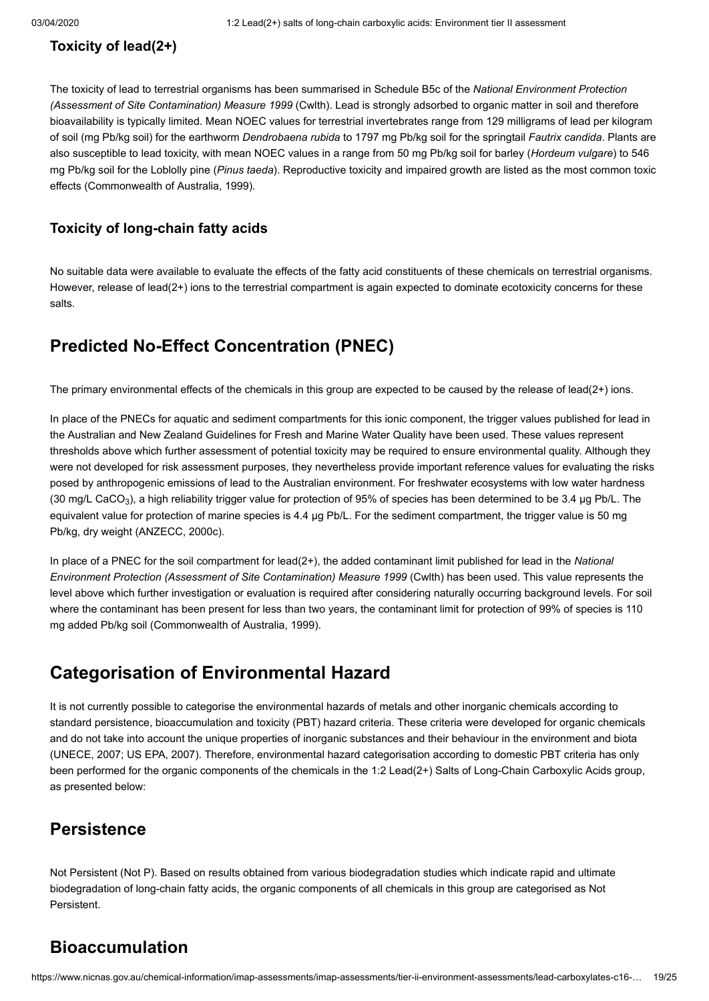### **Toxicity of lead(2+)**

The toxicity of lead to terrestrial organisms has been summarised in Schedule B5c of the *National Environment Protection (Assessment of Site Contamination) Measure 1999* (Cwlth). Lead is strongly adsorbed to organic matter in soil and therefore bioavailability is typically limited. Mean NOEC values for terrestrial invertebrates range from 129 milligrams of lead per kilogram of soil (mg Pb/kg soil) for the earthworm *Dendrobaena rubida* to 1797 mg Pb/kg soil for the springtail *Fautrix candida*. Plants are also susceptible to lead toxicity, with mean NOEC values in a range from 50 mg Pb/kg soil for barley (*Hordeum vulgare*) to 546 mg Pb/kg soil for the Loblolly pine (*Pinus taeda*). Reproductive toxicity and impaired growth are listed as the most common toxic effects ([Commonwealth of Australia, 1999\)](#page-21-17).

### **Toxicity of long-chain fatty acids**

No suitable data were available to evaluate the effects of the fatty acid constituents of these chemicals on terrestrial organisms. However, release of lead(2+) ions to the terrestrial compartment is again expected to dominate ecotoxicity concerns for these salts.

# **Predicted No-Effect Concentration (PNEC)**

The primary environmental effects of the chemicals in this group are expected to be caused by the release of lead(2+) ions.

In place of the PNECs for aquatic and sediment compartments for this ionic component, the trigger values published for lead in the Australian and New Zealand Guidelines for Fresh and Marine Water Quality have been used. These values represent thresholds above which further assessment of potential toxicity may be required to ensure environmental quality. Although they were not developed for risk assessment purposes, they nevertheless provide important reference values for evaluating the risks posed by anthropogenic emissions of lead to the Australian environment. For freshwater ecosystems with low water hardness (30 mg/L CaCO $_3$ ), a high reliability trigger value for protection of 95% of species has been determined to be 3.4  $\mu$ g Pb/L. The equivalent value for protection of marine species is 4.4 µg Pb/L. For the sediment compartment, the trigger value is 50 mg Pb/kg, dry weight [\(ANZECC, 2000c](#page-21-18)).

In place of a PNEC for the soil compartment for lead(2+), the added contaminant limit published for lead in the *National Environment Protection (Assessment of Site Contamination) Measure 1999* (Cwlth) has been used. This value represents the level above which further investigation or evaluation is required after considering naturally occurring background levels. For soil where the contaminant has been present for less than two years, the contaminant limit for protection of 99% of species is 110 mg added Pb/kg soil [\(Commonwealth of Australia, 1999](#page-21-17)).

# <span id="page-18-0"></span>**Categorisation of Environmental Hazard**

It is not currently possible to categorise the environmental hazards of metals and other inorganic chemicals according to standard persistence, bioaccumulation and toxicity (PBT) hazard criteria. These criteria were developed for organic chemicals and do not take into account the unique properties of inorganic substances and their behaviour in the environment and biota ([UNECE, 2007](#page-23-19); [US EPA, 2007\)](#page-23-17). Therefore, environmental hazard categorisation according to domestic PBT criteria has only been performed for the organic components of the chemicals in the 1:2 Lead(2+) Salts of Long-Chain Carboxylic Acids group, as presented below:

# **Persistence**

Not Persistent (Not P). Based on results obtained from various biodegradation studies which indicate rapid and ultimate biodegradation of long-chain fatty acids, the organic components of all chemicals in this group are categorised as Not Persistent.

# **Bioaccumulation**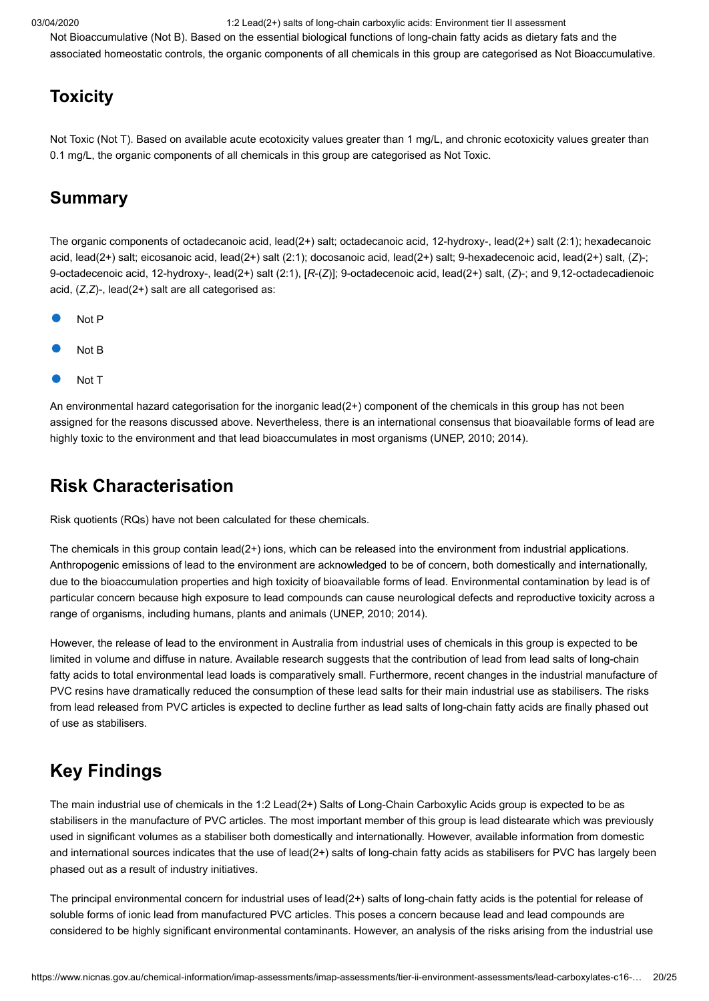Not Bioaccumulative (Not B). Based on the essential biological functions of long-chain fatty acids as dietary fats and the associated homeostatic controls, the organic components of all chemicals in this group are categorised as Not Bioaccumulative.

# **Toxicity**

Not Toxic (Not T). Based on available acute ecotoxicity values greater than 1 mg/L, and chronic ecotoxicity values greater than 0.1 mg/L, the organic components of all chemicals in this group are categorised as Not Toxic.

## **Summary**

The organic components of octadecanoic acid, lead(2+) salt; octadecanoic acid, 12-hydroxy-, lead(2+) salt (2:1); hexadecanoic acid, lead(2+) salt; eicosanoic acid, lead(2+) salt (2:1); docosanoic acid, lead(2+) salt; 9-hexadecenoic acid, lead(2+) salt, (*Z*)-; 9-octadecenoic acid, 12-hydroxy-, lead(2+) salt (2:1), [*R*-(*Z*)]; 9-octadecenoic acid, lead(2+) salt, (*Z*)-; and 9,12-octadecadienoic acid, (*Z*,*Z*)-, lead(2+) salt are all categorised as:

- Not P
- Not B
- Not T

An environmental hazard categorisation for the inorganic lead(2+) component of the chemicals in this group has not been assigned for the reasons discussed above. Nevertheless, there is an international consensus that bioavailable forms of lead are highly toxic to the environment and that lead bioaccumulates in most organisms ([UNEP, 2010](#page-23-16); [2014](#page-23-18)).

# <span id="page-19-0"></span>**Risk Characterisation**

Risk quotients (RQs) have not been calculated for these chemicals.

The chemicals in this group contain lead(2+) ions, which can be released into the environment from industrial applications. Anthropogenic emissions of lead to the environment are acknowledged to be of concern, both domestically and internationally, due to the bioaccumulation properties and high toxicity of bioavailable forms of lead. Environmental contamination by lead is of particular concern because high exposure to lead compounds can cause neurological defects and reproductive toxicity across a range of organisms, including humans, plants and animals ([UNEP, 2010;](#page-23-16) [2014](#page-23-18)).

However, the release of lead to the environment in Australia from industrial uses of chemicals in this group is expected to be limited in volume and diffuse in nature. Available research suggests that the contribution of lead from lead salts of long-chain fatty acids to total environmental lead loads is comparatively small. Furthermore, recent changes in the industrial manufacture of PVC resins have dramatically reduced the consumption of these lead salts for their main industrial use as stabilisers. The risks from lead released from PVC articles is expected to decline further as lead salts of long-chain fatty acids are finally phased out of use as stabilisers.

# <span id="page-19-1"></span>**Key Findings**

The main industrial use of chemicals in the 1:2 Lead(2+) Salts of Long-Chain Carboxylic Acids group is expected to be as stabilisers in the manufacture of PVC articles. The most important member of this group is lead distearate which was previously used in significant volumes as a stabiliser both domestically and internationally. However, available information from domestic and international sources indicates that the use of lead(2+) salts of long-chain fatty acids as stabilisers for PVC has largely been phased out as a result of industry initiatives.

The principal environmental concern for industrial uses of lead(2+) salts of long-chain fatty acids is the potential for release of soluble forms of ionic lead from manufactured PVC articles. This poses a concern because lead and lead compounds are considered to be highly significant environmental contaminants. However, an analysis of the risks arising from the industrial use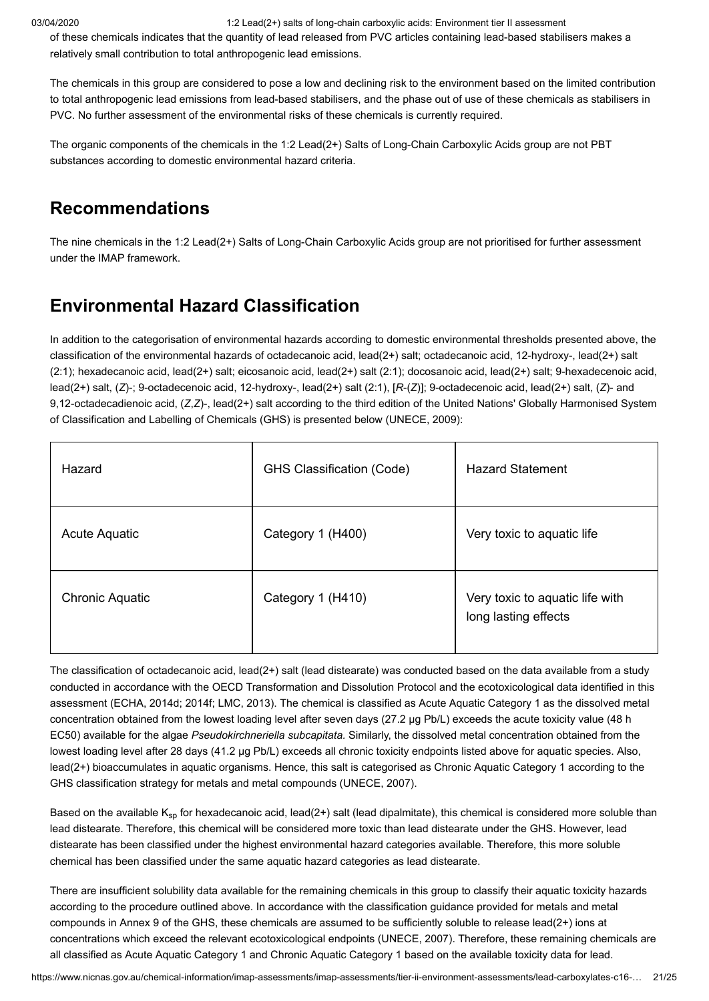of these chemicals indicates that the quantity of lead released from PVC articles containing lead-based stabilisers makes a relatively small contribution to total anthropogenic lead emissions.

The chemicals in this group are considered to pose a low and declining risk to the environment based on the limited contribution to total anthropogenic lead emissions from lead-based stabilisers, and the phase out of use of these chemicals as stabilisers in PVC. No further assessment of the environmental risks of these chemicals is currently required.

The organic components of the chemicals in the 1:2 Lead(2+) Salts of Long-Chain Carboxylic Acids group are not PBT substances according to domestic environmental hazard criteria.

# <span id="page-20-0"></span>**Recommendations**

The nine chemicals in the 1:2 Lead(2+) Salts of Long-Chain Carboxylic Acids group are not prioritised for further assessment under the IMAP framework.

# <span id="page-20-1"></span>**Environmental Hazard Classification**

In addition to the categorisation of environmental hazards according to domestic environmental thresholds presented above, the classification of the environmental hazards of octadecanoic acid, lead(2+) salt; octadecanoic acid, 12-hydroxy-, lead(2+) salt (2:1); hexadecanoic acid, lead(2+) salt; eicosanoic acid, lead(2+) salt (2:1); docosanoic acid, lead(2+) salt; 9-hexadecenoic acid, lead(2+) salt, (*Z*)-; 9-octadecenoic acid, 12-hydroxy-, lead(2+) salt (2:1), [*R*-(*Z*)]; 9-octadecenoic acid, lead(2+) salt, (*Z*)- and 9,12-octadecadienoic acid, (*Z*,*Z*)-, lead(2+) salt according to the third edition of the United Nations' Globally Harmonised System of Classification and Labelling of Chemicals (GHS) is presented below ([UNECE, 2009](#page-23-20)):

| Hazard                 | <b>GHS Classification (Code)</b> | <b>Hazard Statement</b>                                 |
|------------------------|----------------------------------|---------------------------------------------------------|
| Acute Aquatic          | Category 1 (H400)                | Very toxic to aquatic life                              |
| <b>Chronic Aquatic</b> | Category 1 (H410)                | Very toxic to aquatic life with<br>long lasting effects |

The classification of octadecanoic acid, lead(2+) salt (lead distearate) was conducted based on the data available from a study conducted in accordance with the OECD Transformation and Dissolution Protocol and the ecotoxicological data identified in this assessment [\(ECHA, 2014d;](#page-21-5) [2014f](#page-21-15); [LMC, 2013](#page-22-0)). The chemical is classified as Acute Aquatic Category 1 as the dissolved metal concentration obtained from the lowest loading level after seven days (27.2 µg Pb/L) exceeds the acute toxicity value (48 h EC50) available for the algae *Pseudokirchneriella subcapitata.* Similarly, the dissolved metal concentration obtained from the lowest loading level after 28 days (41.2 µg Pb/L) exceeds all chronic toxicity endpoints listed above for aquatic species. Also, lead(2+) bioaccumulates in aquatic organisms. Hence, this salt is categorised as Chronic Aquatic Category 1 according to the GHS classification strategy for metals and metal compounds [\(UNECE, 2007](#page-23-19)).

Based on the available K<sub>sp</sub> for hexadecanoic acid, lead(2+) salt (lead dipalmitate), this chemical is considered more soluble than lead distearate. Therefore, this chemical will be considered more toxic than lead distearate under the GHS. However, lead distearate has been classified under the highest environmental hazard categories available. Therefore, this more soluble chemical has been classified under the same aquatic hazard categories as lead distearate.

There are insufficient solubility data available for the remaining chemicals in this group to classify their aquatic toxicity hazards according to the procedure outlined above. In accordance with the classification guidance provided for metals and metal compounds in Annex 9 of the GHS, these chemicals are assumed to be sufficiently soluble to release lead(2+) ions at concentrations which exceed the relevant ecotoxicological endpoints [\(UNECE, 2007\)](#page-23-19). Therefore, these remaining chemicals are all classified as Acute Aquatic Category 1 and Chronic Aquatic Category 1 based on the available toxicity data for lead.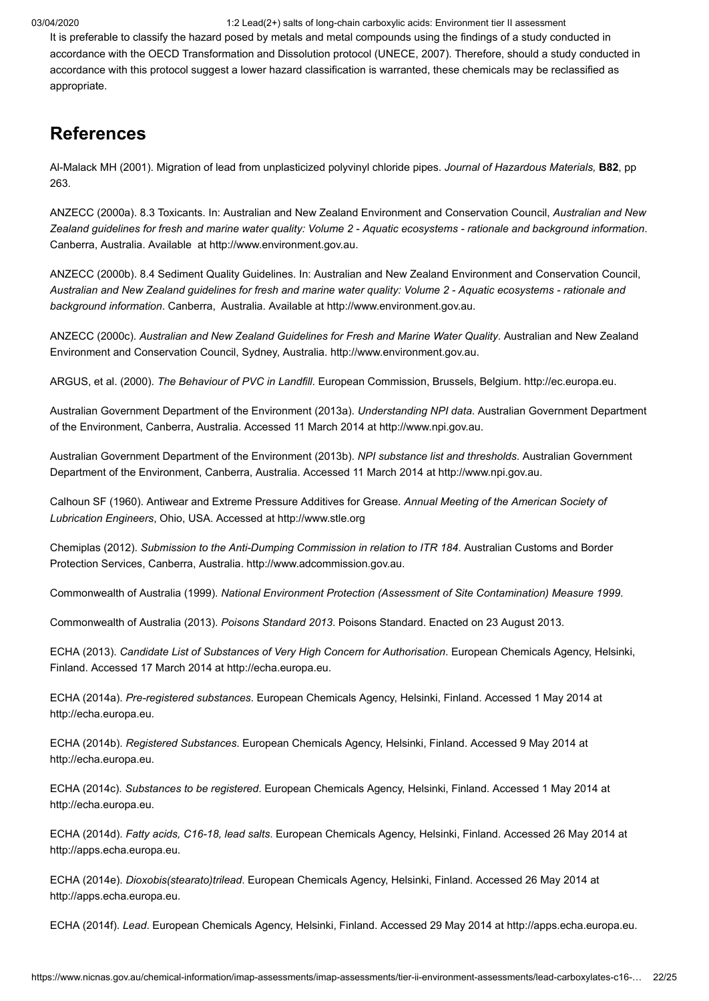It is preferable to classify the hazard posed by metals and metal compounds using the findings of a study conducted in accordance with the OECD Transformation and Dissolution protocol [\(UNECE, 2007\)](#page-23-19). Therefore, should a study conducted in accordance with this protocol suggest a lower hazard classification is warranted, these chemicals may be reclassified as appropriate.

# <span id="page-21-0"></span>**References**

<span id="page-21-12"></span>Al-Malack MH (2001). Migration of lead from unplasticized polyvinyl chloride pipes. *Journal of Hazardous Materials,* **B82**, pp 263.

<span id="page-21-13"></span>ANZECC (2000a). 8.3 Toxicants. In: Australian and New Zealand Environment and Conservation Council, *Australian and New Zealand guidelines for fresh and marine water quality: Volume 2 - Aquatic ecosystems - rationale and background information*. Canberra, Australia. Available at [http://www.environment.gov.au.](http://www.environment.gov.au/resource/australian-and-new-zealand-guidelines-fresh-and-marine-water-quality-volume-2-aquatic)

<span id="page-21-16"></span>ANZECC (2000b). 8.4 Sediment Quality Guidelines. In: Australian and New Zealand Environment and Conservation Council, *Australian and New Zealand guidelines for fresh and marine water quality: Volume 2 - Aquatic ecosystems - rationale and background information*. Canberra, Australia. Available at [http://www.environment.gov.au](http://www.environment.gov.au/resource/australian-and-new-zealand-guidelines-fresh-and-marine-water-quality-volume-2-aquatic).

<span id="page-21-18"></span>ANZECC (2000c). *Australian and New Zealand Guidelines for Fresh and Marine Water Quality*. Australian and New Zealand Environment and Conservation Council, Sydney, Australia. [http://www.environment.gov.au](http://www.environment.gov.au/system/files/resources/53cda9ea-7ec2-49d4-af29-d1dde09e96ef/files/nwqms-guidelines-4-vol1.pdf).

<span id="page-21-14"></span>ARGUS, et al. (2000). *The Behaviour of PVC in Landfill*. European Commission, Brussels, Belgium. [http://ec.europa.eu](http://ec.europa.eu/environment/waste/studies/pvc/landfill.pdf).

<span id="page-21-8"></span>Australian Government Department of the Environment (2013a). *Understanding NPI data*. Australian Government Department of the Environment, Canberra, Australia. Accessed 11 March 2014 at [http://www.npi.gov.au.](http://www.npi.gov.au/npi-data/understanding-npi-data)

<span id="page-21-7"></span>Australian Government Department of the Environment (2013b). *NPI substance list and thresholds*. Australian Government Department of the Environment, Canberra, Australia. Accessed 11 March 2014 at [http://www.npi.gov.au](http://www.npi.gov.au/substances/substance-list-and-thresholds).

<span id="page-21-2"></span>Calhoun SF (1960). Antiwear and Extreme Pressure Additives for Grease. *Annual Meeting of the American Society of Lubrication Engineers*, Ohio, USA. Accessed at [http://www.stle.org](http://www.stle.org/assets/document/Antiwear_and_Extreme_Pressure_Additives_for_Greases.pdf)

<span id="page-21-1"></span>Chemiplas (2012). *Submission to the Anti-Dumping Commission in relation to ITR 184*. Australian Customs and Border Protection Services, Canberra, Australia. [http://www.adcommission.gov.au.](http://www.adcommission.gov.au/cases/documents/5-SubmissionfromChemiplasAustraliaPtyLtd.pdf)

<span id="page-21-17"></span>Commonwealth of Australia (1999). *National Environment Protection (Assessment of Site Contamination) Measure 1999*.

<span id="page-21-9"></span>Commonwealth of Australia (2013). *Poisons Standard 2013*. Poisons Standard. Enacted on 23 August 2013.

<span id="page-21-11"></span>ECHA (2013). *Candidate List of Substances of Very High Concern for Authorisation*. European Chemicals Agency, Helsinki, Finland. Accessed 17 March 2014 at [http://echa.europa.eu.](http://echa.europa.eu/candidate-list-table;jsessionid=EE2A0991F88DD33FDD7C39AA7B29A2AC.live1)

<span id="page-21-10"></span>ECHA (2014a). *Pre-registered substances*. European Chemicals Agency, Helsinki, Finland. Accessed 1 May 2014 at [http://echa.europa.eu](http://echa.europa.eu/web/guest/information-on-chemicals/pre-registered-substances).

<span id="page-21-3"></span>ECHA (2014b). *Registered Substances*. European Chemicals Agency, Helsinki, Finland. Accessed 9 May 2014 at [http://echa.europa.eu](http://echa.europa.eu/web/guest/information-on-chemicals/registered-substances).

<span id="page-21-4"></span>ECHA (2014c). *Substances to be registered*. European Chemicals Agency, Helsinki, Finland. Accessed 1 May 2014 at [http://echa.europa.eu](http://echa.europa.eu/regulations/reach/substance-registration/substances-to-be-registered).

<span id="page-21-5"></span>ECHA (2014d). *Fatty acids, C16-18, lead salts*. European Chemicals Agency, Helsinki, Finland. Accessed 26 May 2014 at [http://apps.echa.europa.eu](http://apps.echa.europa.eu/registered/data/dossiers/DISS-9ebc434c-b215-079d-e044-00144f67d031/AGGR-40923019-f9f1-4260-8e4d-b2c30ba6bde9_DISS-9ebc434c-b215-079d-e044-00144f67d031.html#AGGR-40923019-f9f1-4260-8e4d-b2c30ba6bde9).

<span id="page-21-6"></span>ECHA (2014e). *Dioxobis(stearato)trilead*. European Chemicals Agency, Helsinki, Finland. Accessed 26 May 2014 at [http://apps.echa.europa.eu](http://apps.echa.europa.eu/registered/data/dossiers/DISS-9ea60815-228e-6be6-e044-00144f67d031/DISS-9ea60815-228e-6be6-e044-00144f67d031_DISS-9ea60815-228e-6be6-e044-00144f67d031.html).

<span id="page-21-15"></span>ECHA (2014f). *Lead*. European Chemicals Agency, Helsinki, Finland. Accessed 29 May 2014 at [http://apps.echa.europa.eu.](http://apps.echa.europa.eu/registered/data/dossiers/DISS-9c85aae9-b4e7-32ec-e044-00144f67d249/DISS-9c85aae9-b4e7-32ec-e044-00144f67d249_DISS-9c85aae9-b4e7-32ec-e044-00144f67d249.html)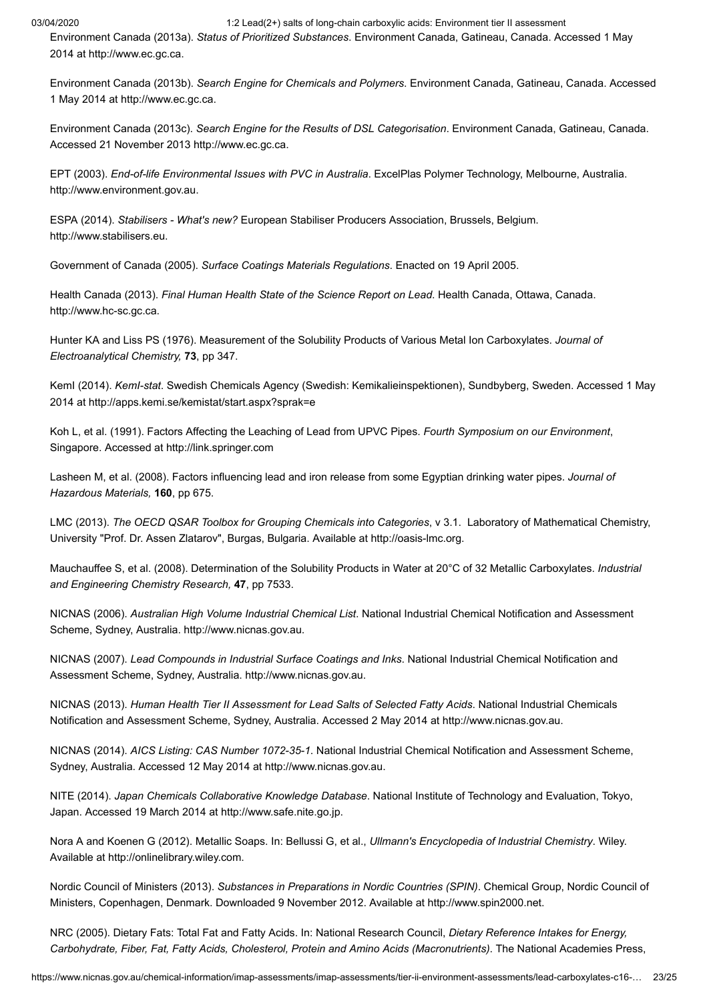<span id="page-22-14"></span>Environment Canada (2013a). *Status of Prioritized Substances*. Environment Canada, Gatineau, Canada. Accessed 1 May 2014 at [http://www.ec.gc.ca](http://www.ec.gc.ca/ese-ees/default.asp?lang=En&n=2AB9CF02-1).

<span id="page-22-11"></span>Environment Canada (2013b). *Search Engine for Chemicals and Polymers*. Environment Canada, Gatineau, Canada. Accessed 1 May 2014 at [http://www.ec.gc.ca](http://www.ec.gc.ca/lcpe-cepa/eng/substance/chemicals_polymers.cfm).

<span id="page-22-13"></span>Environment Canada (2013c). *Search Engine for the Results of DSL Categorisation*. Environment Canada, Gatineau, Canada. Accessed 21 November 2013 [http://www.ec.gc.ca](http://www.ec.gc.ca/lcpe-cepa/default.asp?lang=En&n=5F213FA8-1&wsdoc=D031CB30-B31B-D54C-0E46-37E32D526A1F).

<span id="page-22-4"></span>EPT (2003). *End-of-life Environmental Issues with PVC in Australia*. ExcelPlas Polymer Technology, Melbourne, Australia. [http://www.environment.gov.au](http://www.environment.gov.au/archive/settlements/publications/waste/pvc/pubs/pvc-final-report.pdf).

<span id="page-22-10"></span>ESPA (2014). *Stabilisers - What's new?* European Stabiliser Producers Association, Brussels, Belgium. [http://www.stabilisers.eu.](http://www.stabilisers.eu/uploads/News/ESPA-stabilisers_update_20140314.pdf)

<span id="page-22-15"></span>Government of Canada (2005). *Surface Coatings Materials Regulations*. Enacted on 19 April 2005.

<span id="page-22-8"></span>Health Canada (2013). *Final Human Health State of the Science Report on Lead*. Health Canada, Ottawa, Canada. [http://www.hc-sc.gc.ca](http://www.hc-sc.gc.ca/ewh-semt/alt_formats/pdf/pubs/contaminants/dhhssrl-rpecscepsh/dhhssrl-rpecscepsh-eng.pdf).

<span id="page-22-2"></span>Hunter KA and Liss PS (1976). Measurement of the Solubility Products of Various Metal Ion Carboxylates. *Journal of Electroanalytical Chemistry,* **73**, pp 347.

<span id="page-22-12"></span>KemI (2014). *KemI-stat*. Swedish Chemicals Agency (Swedish: Kemikalieinspektionen), Sundbyberg, Sweden. Accessed 1 May 2014 at http://apps.kemi.se/kemistat/start.aspx?sprak=e

<span id="page-22-16"></span>Koh L, et al. (1991). Factors Affecting the Leaching of Lead from UPVC Pipes. *Fourth Symposium on our Environment*, Singapore. Accessed at [http://link.springer.com](http://link.springer.com/chapter/10.1007/978-94-011-2664-9_21)

<span id="page-22-17"></span>Lasheen M, et al. (2008). Factors influencing lead and iron release from some Egyptian drinking water pipes. *Journal of Hazardous Materials,* **160**, pp 675.

<span id="page-22-0"></span>LMC (2013). *The OECD QSAR Toolbox for Grouping Chemicals into Categories*, v 3.1. Laboratory of Mathematical Chemistry, University "Prof. Dr. Assen Zlatarov", Burgas, Bulgaria. Available at [http://oasis-lmc.org](http://oasis-lmc.org/).

<span id="page-22-3"></span>Mauchauffee S, et al. (2008). Determination of the Solubility Products in Water at 20°C of 32 Metallic Carboxylates. *Industrial and Engineering Chemistry Research,* **47**, pp 7533.

<span id="page-22-5"></span>NICNAS (2006). *Australian High Volume Industrial Chemical List*. National Industrial Chemical Notification and Assessment Scheme, Sydney, Australia. [http://www.nicnas.gov.au.](http://www.nicnas.gov.au/__data/assets/pdf_file/0019/6661/NICNAS_AHVICL_2006_PDF.pdf)

<span id="page-22-18"></span>NICNAS (2007). *Lead Compounds in Industrial Surface Coatings and Inks*. National Industrial Chemical Notification and Assessment Scheme, Sydney, Australia. [http://www.nicnas.gov.au.](http://www.nicnas.gov.au/__data/assets/pdf_file/0016/4390/PEC_29_Lead-Compunds-in-Industrial-Surface-Coatings-and-Inks_Full_Report_PDF.pdf)

<span id="page-22-6"></span>NICNAS (2013). *Human Health Tier II Assessment for Lead Salts of Selected Fatty Acids*. National Industrial Chemicals Notification and Assessment Scheme, Sydney, Australia. Accessed 2 May 2014 at [http://www.nicnas.gov.au](http://www.nicnas.gov.au/chemical-information/imap-assessments/imap-group-assessment-report?assessment_id=114).

<span id="page-22-7"></span>NICNAS (2014). *AICS Listing: CAS Number 1072-35-1*. National Industrial Chemical Notification and Assessment Scheme, Sydney, Australia. Accessed 12 May 2014 at [http://www.nicnas.gov.au](http://www.nicnas.gov.au/regulation-and-compliance/aics/aics-search-page/chemical?id=1506).

<span id="page-22-19"></span>NITE (2014). *Japan Chemicals Collaborative Knowledge Database*. National Institute of Technology and Evaluation, Tokyo, Japan. Accessed 19 March 2014 at [http://www.safe.nite.go.jp.](http://www.safe.nite.go.jp/jcheck/top.action;jsessionid=2EAC29067591B266CC34B9196E5BEC46?request_locale=en)

<span id="page-22-1"></span>Nora A and Koenen G (2012). Metallic Soaps. In: Bellussi G, et al., *Ullmann's Encyclopedia of Industrial Chemistry*. Wiley. Available at [http://onlinelibrary.wiley.com.](http://onlinelibrary.wiley.com/book/10.1002/14356007)

<span id="page-22-9"></span>Nordic Council of Ministers (2013). *Substances in Preparations in Nordic Countries (SPIN)*. Chemical Group, Nordic Council of Ministers, Copenhagen, Denmark. Downloaded 9 November 2012. Available at [http://www.spin2000.net.](http://www.spin2000.net/spinmyphp/)

<span id="page-22-20"></span>NRC (2005). Dietary Fats: Total Fat and Fatty Acids. In: National Research Council, *Dietary Reference Intakes for Energy, Carbohydrate, Fiber, Fat, Fatty Acids, Cholesterol, Protein and Amino Acids (Macronutrients)*. The National Academies Press,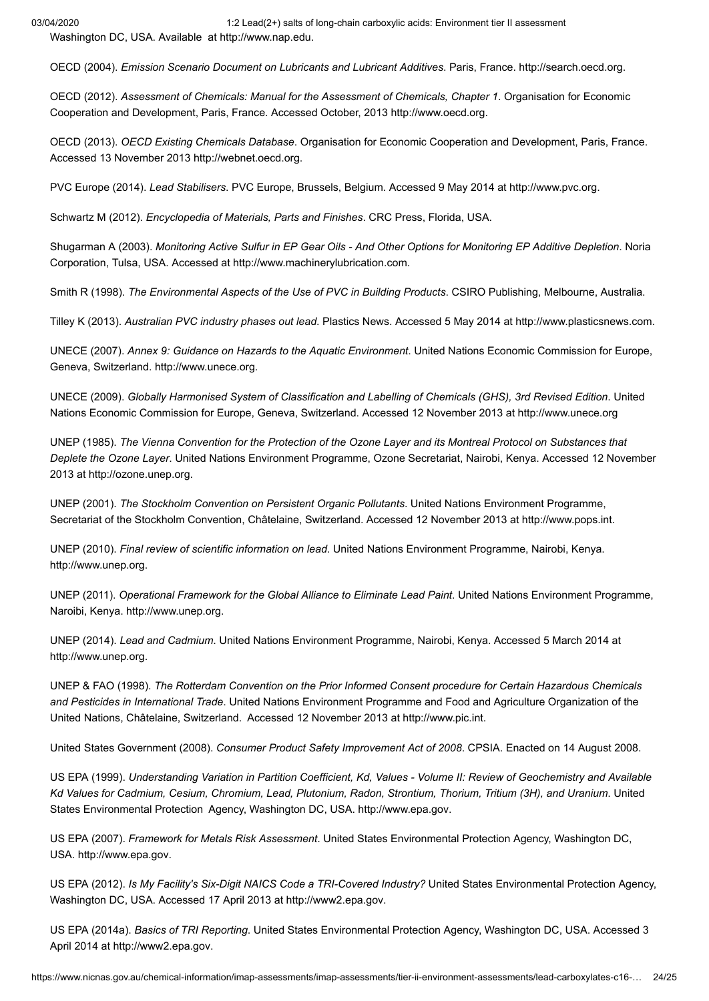03/04/2020 1:2 Lead(2+) salts of long-chain carboxylic acids: Environment tier II assessment Washington DC, USA. Available at [http://www.nap.edu](http://www.nap.edu/openbook.php?record_id=10490&page=422).

<span id="page-23-1"></span>OECD (2004). *Emission Scenario Document on Lubricants and Lubricant Additives*. Paris, France. [http://search.oecd.org.](http://search.oecd.org/officialdocuments/displaydocumentpdf/?cote=env/jm/mono%282004%2921&doclanguage=en)

<span id="page-23-9"></span>OECD (2012). *Assessment of Chemicals: Manual for the Assessment of Chemicals, Chapter 1*. Organisation for Economic Cooperation and Development, Paris, France. Accessed October, 2013 [http://www.oecd.org](http://www.oecd.org/env/ehs/risk-assessment/Chapter1_17%20September%202012.pdf).

<span id="page-23-10"></span>OECD (2013). *OECD Existing Chemicals Database*. Organisation for Economic Cooperation and Development, Paris, France. Accessed 13 November 2013 [http://webnet.oecd.org](http://webnet.oecd.org/HPV/UI/SIDS_Details.aspx?key=def4461f-aad7-49f4-8bec-00cdc7244a10&idx=0).

<span id="page-23-4"></span>PVC Europe (2014). *Lead Stabilisers*. PVC Europe, Brussels, Belgium. Accessed 9 May 2014 at [http://www.pvc.org](http://www.pvc.org/en/p/lead-stabilisers).

<span id="page-23-3"></span>Schwartz M (2012). *Encyclopedia of Materials, Parts and Finishes*. CRC Press, Florida, USA.

<span id="page-23-2"></span>Shugarman A (2003). *Monitoring Active Sulfur in EP Gear Oils - And Other Options for Monitoring EP Additive Depletion*. Noria Corporation, Tulsa, USA. Accessed at [http://www.machinerylubrication.com.](http://www.machinerylubrication.com/Read/496)

<span id="page-23-14"></span>Smith R (1998). *The Environmental Aspects of the Use of PVC in Building Products*. CSIRO Publishing, Melbourne, Australia.

<span id="page-23-0"></span>Tilley K (2013). *Australian PVC industry phases out lead*. Plastics News. Accessed 5 May 2014 at [http://www.plasticsnews.com.](http://www.plasticsnews.com/article/20130530/NEWS/130539991/australian-pvc-industry-phases-out-lead)

<span id="page-23-19"></span>UNECE (2007). *Annex 9: Guidance on Hazards to the Aquatic Environment*. United Nations Economic Commission for Europe, Geneva, Switzerland. [http://www.unece.org](http://www.unece.org/fileadmin/DAM/trans/danger/publi/ghs/ghs_rev02/English/13e_annex9.pdf).

<span id="page-23-20"></span>UNECE (2009). *Globally Harmonised System of Classification and Labelling of Chemicals (GHS), 3rd Revised Edition*. United Nations Economic Commission for Europe, Geneva, Switzerland. Accessed 12 November 2013 at [http://www.unece.org](http://www.unece.org/trans/danger/publi/ghs/ghs_rev03/03files_e.html)

<span id="page-23-6"></span>UNEP (1985). *The Vienna Convention for the Protection of the Ozone Layer and its Montreal Protocol on Substances that Deplete the Ozone Layer*. United Nations Environment Programme, Ozone Secretariat, Nairobi, Kenya. Accessed 12 November 2013 at [http://ozone.unep.org.](http://ozone.unep.org/)

<span id="page-23-5"></span>UNEP (2001). *The Stockholm Convention on Persistent Organic Pollutants*. United Nations Environment Programme, Secretariat of the Stockholm Convention, Châtelaine, Switzerland. Accessed 12 November 2013 at [http://www.pops.int.](http://www.pops.int/)

<span id="page-23-16"></span>UNEP (2010). *Final review of scientific information on lead*. United Nations Environment Programme, Nairobi, Kenya. [http://www.unep.org.](http://www.unep.org/chemicalsandwaste/Portals/9/Lead_Cadmium/docs/Interim_reviews/UNEP_GC26_INF_11_Add_1_Final_UNEP_Lead_review_and_apppendix_Dec_2010.pdf)

<span id="page-23-8"></span>UNEP (2011). *Operational Framework for the Global Alliance to Eliminate Lead Paint*. United Nations Environment Programme, Naroibi, Kenya. [http://www.unep.org](http://www.unep.org/chemicalsandwaste/Portals/9/Lead_Cadmium/docs/GAELP/GAELP%20Documents/GAELP_operational-framework%5B1%5D-FULL-JM131017_web.pdf).

<span id="page-23-18"></span>UNEP (2014). *Lead and Cadmium*. United Nations Environment Programme, Nairobi, Kenya. Accessed 5 March 2014 at [http://www.unep.org.](http://www.unep.org/chemicalsandwaste/LeadCadmium/tabid/29372/Default.aspx)

<span id="page-23-7"></span>UNEP & FAO (1998). *The Rotterdam Convention on the Prior Informed Consent procedure for Certain Hazardous Chemicals and Pesticides in International Trade*. United Nations Environment Programme and Food and Agriculture Organization of the United Nations, Châtelaine, Switzerland. Accessed 12 November 2013 at [http://www.pic.int.](http://www.pic.int/)

<span id="page-23-13"></span>United States Government (2008). *Consumer Product Safety Improvement Act of 2008*. CPSIA. Enacted on 14 August 2008.

<span id="page-23-15"></span>US EPA (1999). *Understanding Variation in Partition Coefficient, Kd, Values - Volume II: Review of Geochemistry and Available Kd Values for Cadmium, Cesium, Chromium, Lead, Plutonium, Radon, Strontium, Thorium, Tritium (3H), and Uranium*. United States Environmental Protection Agency, Washington DC, USA. [http://www.epa.gov.](http://www.epa.gov/rpdweb00/docs/kdreport/vol2/402-r-99-004b.pdf)

<span id="page-23-17"></span>US EPA (2007). *Framework for Metals Risk Assessment*. United States Environmental Protection Agency, Washington DC, USA. [http://www.epa.gov.](http://www.epa.gov/raf/metalsframework/pdfs/metals-risk-assessment-final.pdf)

<span id="page-23-11"></span>US EPA (2012). *Is My Facility's Six-Digit NAICS Code a TRI-Covered Industry?* United States Environmental Protection Agency, Washington DC, USA. Accessed 17 April 2013 at [http://www2.epa.gov.](http://www2.epa.gov/toxics-release-inventory-tri-program/my-facilitys-six-digit-naics-code-tri-covered-industry)

<span id="page-23-12"></span>US EPA (2014a). *Basics of TRI Reporting*. United States Environmental Protection Agency, Washington DC, USA. Accessed 3 April 2014 at [http://www2.epa.gov](http://www2.epa.gov/toxics-release-inventory-tri-program/basics-tri-reporting).